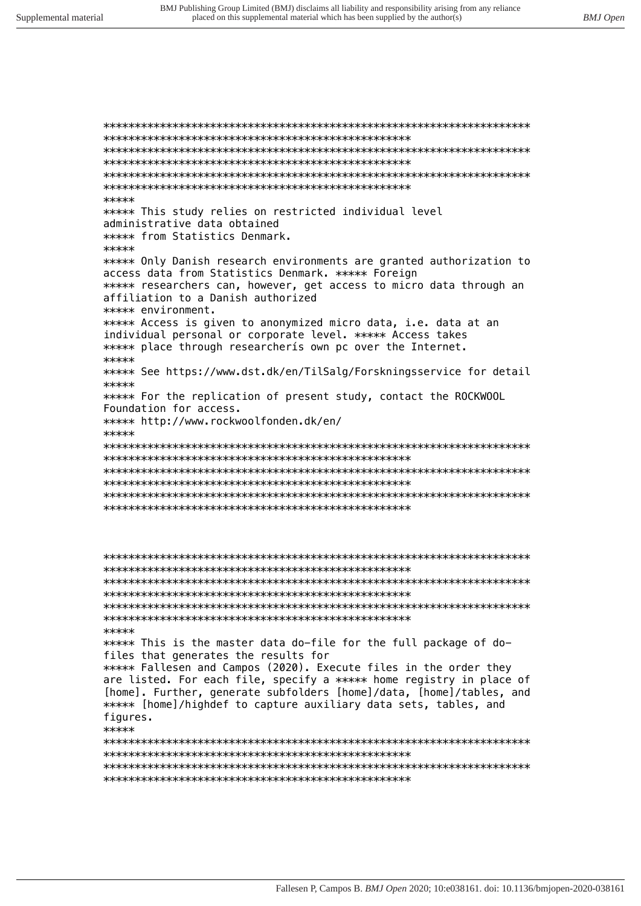\*\*\*\*\* \*\*\*\*\* This study relies on restricted individual level administrative data obtained \*\*\*\*\* from Statistics Denmark. \*\*\*\*\* \*\*\*\*\* Only Danish research environments are granted authorization to access data from Statistics Denmark. \*\*\*\*\* Foreign \*\*\*\*\* researchers can, however, get access to micro data through an affiliation to a Danish authorized \*\*\*\*\* environment. \*\*\*\*\* Access is given to anonymized micro data, i.e. data at an individual personal or corporate level. \*\*\*\*\* Access takes \*\*\*\*\* place through researcheris own pc over the Internet. \*\*\*\*\* \*\*\*\*\* See https://www.dst.dk/en/TilSalg/Forskningsservice for detail \*\*\*\*\* \*\*\*\*\* For the replication of present study, contact the ROCKWOOL Foundation for access. \*\*\*\*\* http://www.rockwoolfonden.dk/en/ \*\*\*\*\* 

```
*****
***** This is the master data do-file for the full package of do-
files that generates the results for
***** Fallesen and Campos (2020). Execute files in the order they
are listed. For each file, specify a ***** home registry in place of
[home]. Further, generate subfolders [home]/data, [home]/tables, and
***** [home]/highdef to capture auxiliary data sets, tables, and
figures.
*****
```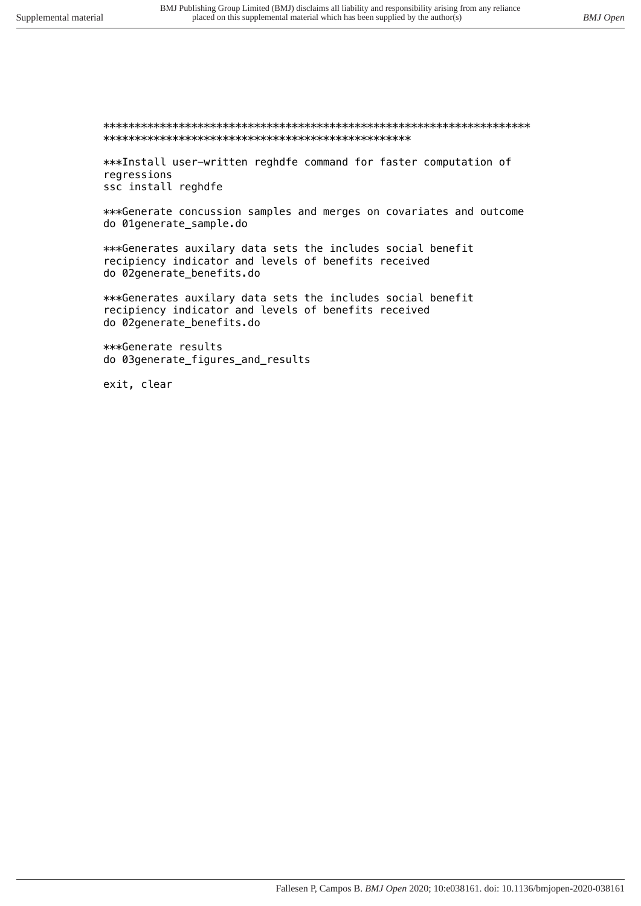## 

\*\*\*Install user-written reghdfe command for faster computation of regressions ssc install reghdfe

\*\*\*Generate concussion samples and merges on covariates and outcome do 01generate\_sample.do

\*\*\*Generates auxilary data sets the includes social benefit recipiency indicator and levels of benefits received do 02generate\_benefits.do

\*\*\*Generates auxilary data sets the includes social benefit recipiency indicator and levels of benefits received do 02generate\_benefits.do

\*\*\*Generate results do 03generate\_figures\_and\_results

exit, clear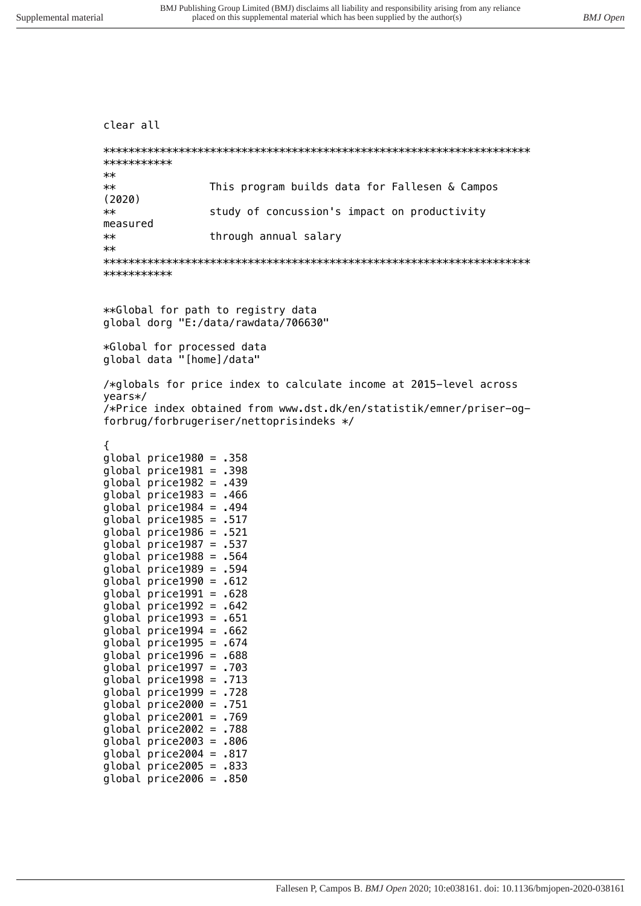```
clear all
```

| ***********      |                                                |
|------------------|------------------------------------------------|
| $**$             |                                                |
| $**$<br>(2020)   | This program builds data for Fallesen & Campos |
| $**$<br>measured | study of concussion's impact on productivity   |
| $**$<br>$**$     | through annual salary                          |
|                  |                                                |
| ***********      |                                                |

*\*\*Global for path to registry data global dorg "E:/data/rawdata/706630"*

*\*Global for processed data global data "[home]/data"*

*/\*globals for price index to calculate income at 2015-level across years\*/ /\*Price index obtained from www.dst.dk/en/statistik/emner/priser-ogforbrug/forbrugeriser/nettoprisindeks \*/*

*{*

*global price1980 = .358 global price1981 = .398 global price1982 = .439 global price1983 = .466 global price1984 = .494 global price1985 = .517 global price1986 = .521 global price1987 = .537 global price1988 = .564 global price1989 = .594 global price1990 = .612 global price1991 = .628 global price1992 = .642 global price1993 = .651 global price1994 = .662 global price1995 = .674 global price1996 = .688 global price1997 = .703 global price1998 = .713 global price1999 = .728 global price2000 = .751 global price2001 = .769 global price2002 = .788 global price2003 = .806 global price2004 = .817 global price2005 = .833 global price2006 = .850*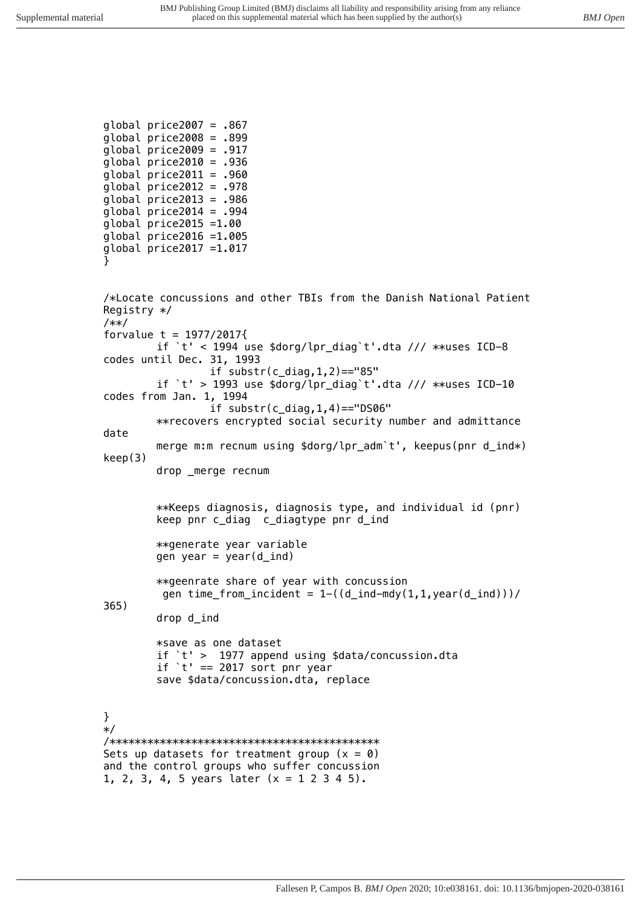```
global price2007 = .867
global price2008 = .899
global price2009 = .917
global price2010 = .936
global price2011 = .960
global price2012 = .978
global price2013 = .986
global price2014 = .994
global price2015 =1.00
global price2016 =1.005
global price2017 =1.017
} 
/*Locate concussions and other TBIs from the Danish National Patient 
Registry */
/**/
forvalue t = 1977/2017{
        if `t' < 1994 use $dorg/lpr_diag`t'.dta /// **uses ICD-8 
codes until Dec. 31, 1993
                 if substr(c_diag,1,2)=="85"
        if `t' > 1993 use $dorg/lpr_diag`t'.dta /// **uses ICD-10 
codes from Jan. 1, 1994
                 if substr(c_diag,1,4)=="DS06"
        **recovers encrypted social security number and admittance 
date
        merge m:m recnum using $dorg/lpr_adm`t', keepus(pnr d_ind*) 
keep(3)
        drop _merge recnum
        **Keeps diagnosis, diagnosis type, and individual id (pnr)
        keep pnr c_diag c_diagtype pnr d_ind
        **generate year variable
        gen year = year(d_ind)
        **geenrate share of year with concussion
          gen time_from_incident = 1-((d_ind-mdy(1,1,year(d_ind)))/
365)
        drop d_ind
        *save as one dataset
        if `t' > 1977 append using $data/concussion.dta
        if `t' == 2017 sort pnr year
        save $data/concussion.dta, replace
}
*/
/*******************************************
Sets up datasets for treatment group (x = 0)
and the control groups who suffer concussion 
1, 2, 3, 4, 5 years later (x = 1 2 3 4 5).
```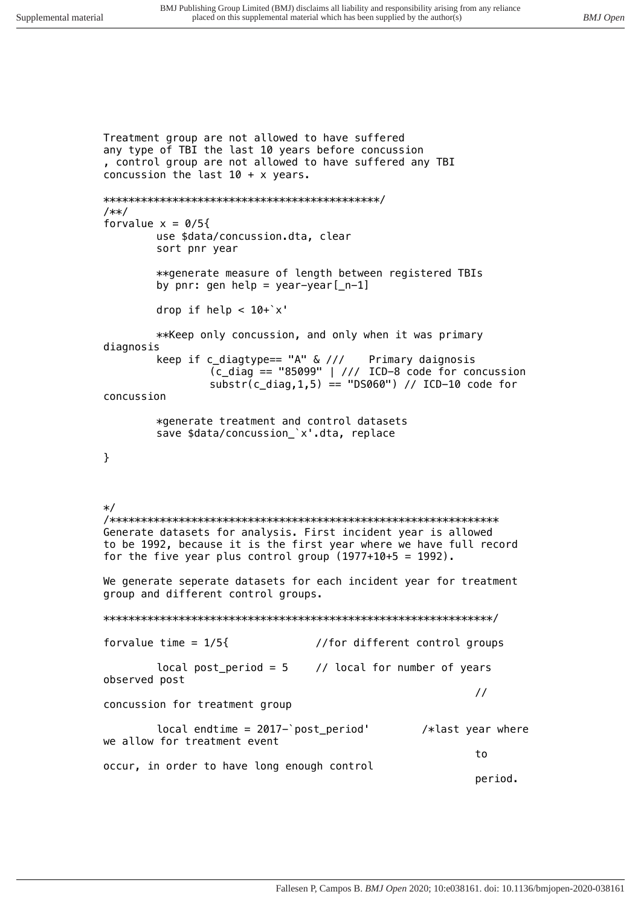Treatment group are not allowed to have suffered any type of TBI the last 10 years before concussion , control group are not allowed to have suffered any TBI concussion the last  $10 + x$  years.  $1**1$ forvalue  $x = 0/5$ { use \$data/concussion.dta, clear sort pnr year \*\* generate measure of length between registered TBIs by  $pnr: gen help = year-year[-n-1]$ drop if help  $< 10+$ 'x' \*\* Keep only concussion, and only when it was primary diagnosis keep if c\_diagtype==  $'A''$  & /// Primary daignosis  $\overline{\text{(c}_\text{diag}} == 95099"$  | /// ICD-8 code for concussion substr(c diag, 1,5) == "DS060") // ICD-10 code for concussion \*generate treatment and control datasets save \$data/concussion\_'x'.dta, replace  $\mathcal{E}$  $\ast/$ Generate datasets for analysis. First incident year is allowed to be 1992, because it is the first year where we have full record for the five year plus control group  $(1977+10+5 = 1992)$ . We generate seperate datasets for each incident year for treatment group and different control groups. forvalue time =  $1/5$ { //for different control groups local post\_period =  $5$  // local for number of years observed post  $\frac{1}{2}$ concussion for treatment group  $local$  endtime = 2017-'post\_period' /\*last year where we allow for treatment event to occur, in order to have long enough control period.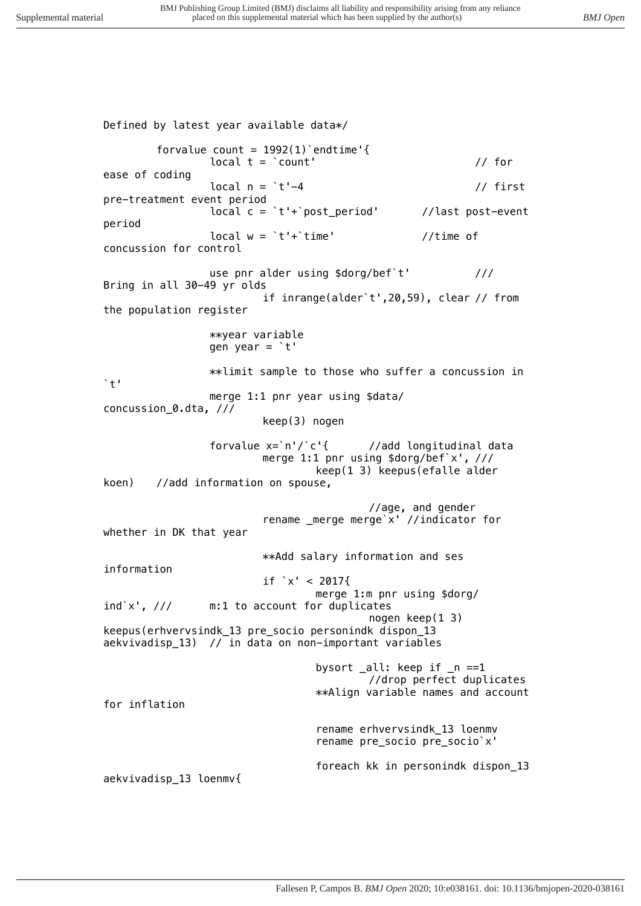*Defined by latest year available data\*/ forvalue count = 1992(1)`endtime'{ local t = `count' // for ease of coding local n = `t'-4 // first pre-treatment event period local c = `t'+`post\_period' //last post-event period local w = `t'+`time' //time of concussion for control use pnr alder using \$dorg/bef`t' /// Bring in all 30-49 yr olds if inrange(alder`t',20,59), clear // from the population register \*\*year variable gen year = `t' \*\*limit sample to those who suffer a concussion in `t' merge 1:1 pnr year using \$data/ concussion\_0.dta, /// keep(3) nogen forvalue x=`n'/`c'{ //add longitudinal data merge 1:1 pnr using \$dorg/bef`x', /// keep(1 3) keepus(efalle alder koen) //add information on spouse, //age, and gender rename \_merge merge`x' //indicator for whether in DK that year \*\*Add salary information and ses information if `x' < 2017{ merge 1:m pnr using \$dorg/ ind`x', /// m:1 to account for duplicates nogen keep(1 3) keepus(erhvervsindk\_13 pre\_socio personindk dispon\_13 aekvivadisp\_13) // in data on non-important variables bysort \_all: keep if \_n ==1 //drop perfect duplicates \*\*Align variable names and account for inflation rename erhvervsindk\_13 loenmv rename pre\_socio pre\_socio`x' foreach kk in personindk dispon\_13 aekvivadisp\_13 loenmv{*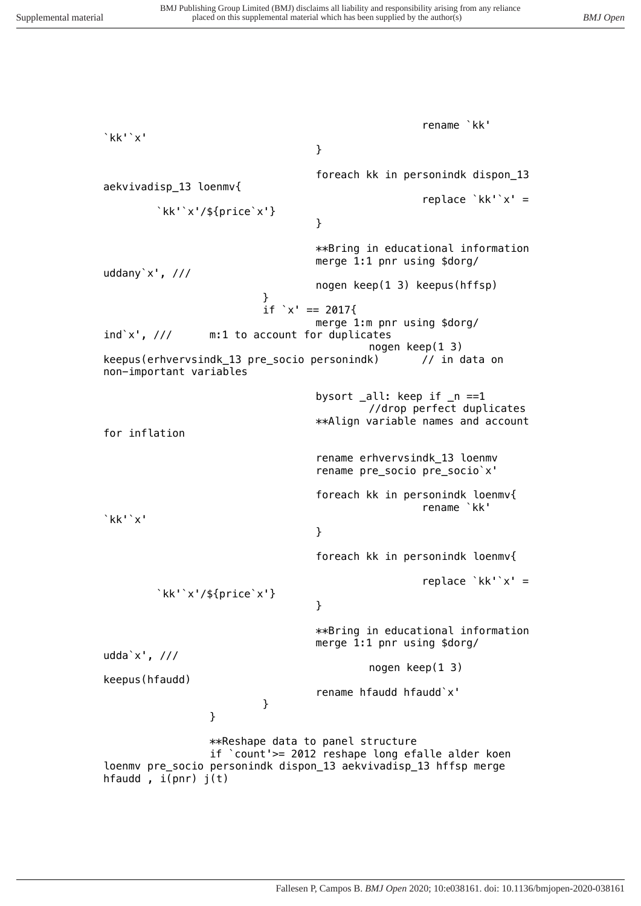*rename `kk' `kk'`x' } foreach kk in personindk dispon\_13 aekvivadisp\_13 loenmv{ replace `kk'`x' = `kk'`x'/\${price`x'} } \*\*Bring in educational information merge 1:1 pnr using \$dorg/ uddany`x', /// nogen keep(1 3) keepus(hffsp) } if `x' == 2017{ merge 1:m pnr using \$dorg/ ind`x', /// m:1 to account for duplicates nogen keep(1 3) keepus(erhvervsindk\_13 pre\_socio personindk) // in data on non-important variables bysort \_all: keep if \_n ==1 //drop perfect duplicates \*\*Align variable names and account for inflation rename erhvervsindk\_13 loenmv rename pre\_socio pre\_socio`x' foreach kk in personindk loenmv{ rename `kk' `kk'`x' } foreach kk in personindk loenmv{ replace `kk'`x' = `kk'`x'/\${price`x'} } \*\*Bring in educational information merge 1:1 pnr using \$dorg/ udda`x', /// nogen keep(1 3) keepus(hfaudd) rename hfaudd hfaudd`x' } } \*\*Reshape data to panel structure if `count'>= 2012 reshape long efalle alder koen loenmv pre\_socio personindk dispon\_13 aekvivadisp\_13 hffsp merge hfaudd , i(pnr) j(t)*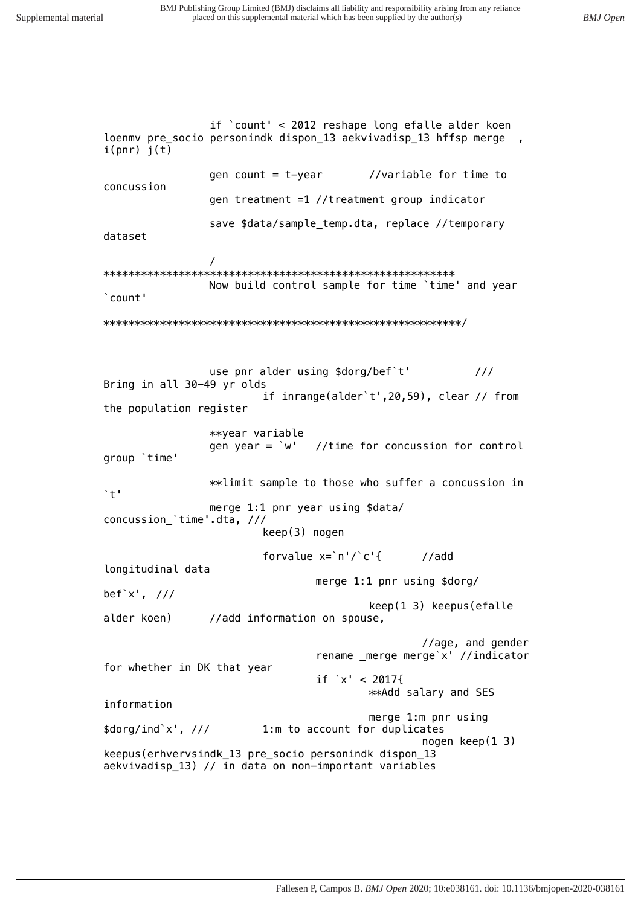```
if `count' < 2012 reshape long efalle alder koen
loenmy pre socio personindk dispon 13 aekvivadisp 13 hffsp merge,
i(pnr) j(t)//variable for time to
                gen count = t-year
concussion
                gen treatment =1 //treatment group indicator
                save $data/sample_temp.dta, replace //temporary
dataset
                \primeNow build control sample for time `time' and year
'count'
use pnr alder using $dorg/bef`t'
                                                         111Bring in all 30-49 yr olds
                        if inrange(alder't', 20, 59), clear // from
the population register
                **year variable
                                //time for concussion for control
                gen year = \dot{w}'
group 'time'
                **limit sample to those who suffer a concussion in
\rightarrow +1merge 1:1 pnr year using $data/
concussion_'time'.dta, ///
                        keep(3) nogen
                        forvalue x = \n\cdot n'/c'//addlongitudinal data
                                merge 1:1 pnr using $dorg/
bef'x', \frac{1}{1}keep(1 3) keepus(efalle
alder koen)
                //add information on spouse,
                                                //age, and gender
                                rename _merge merge'x' //indicator
for whether in DK that year
                                if x' < 2017**Add salary and SES
information
                                        merge 1:m pnr using
\frac{\sqrt{3}}{2} sdorg/ind`x', ///
                        1:m to account for duplicates
                                                 nogen keep(1 3)keepus(erhvervsindk_13 pre_socio personindk dispon_13
aekvivadisp 13) // in data on non-important variables
```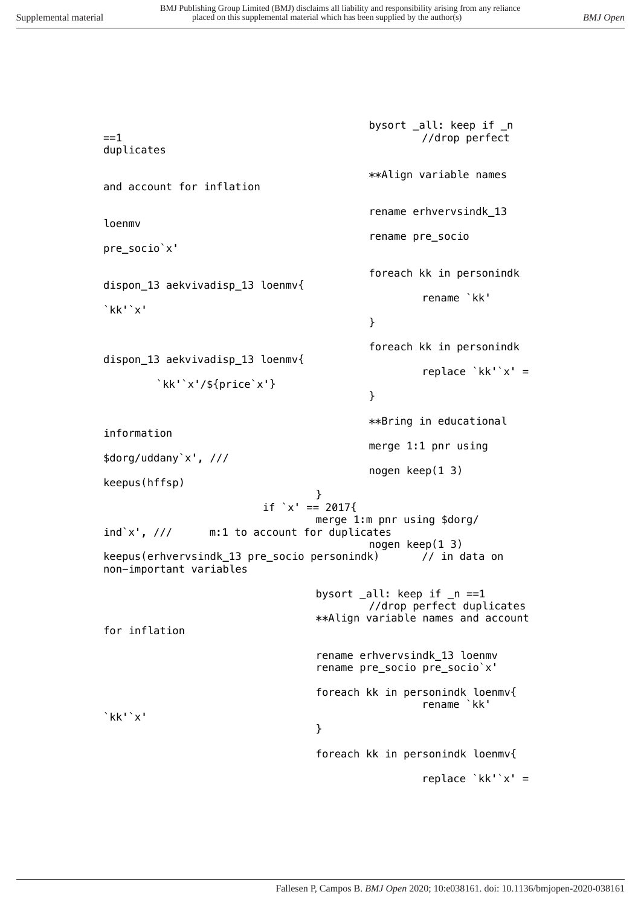*bysort \_all: keep if \_n ==1 //drop perfect duplicates \*\*Align variable names and account for inflation rename erhvervsindk\_13 loenmv rename pre\_socio pre\_socio`x' foreach kk in personindk dispon\_13 aekvivadisp\_13 loenmv{ rename `kk' `kk'`x' } foreach kk in personindk dispon\_13 aekvivadisp\_13 loenmv{ replace `kk'`x' = `kk'`x'/\${price`x'} } \*\*Bring in educational information merge 1:1 pnr using \$dorg/uddany`x', /// nogen keep(1 3) keepus(hffsp) } if `x' == 2017{ merge 1:m pnr using \$dorg/ ind`x', /// m:1 to account for duplicates nogen keep(1 3) keepus(erhvervsindk\_13 pre\_socio personindk) // in data on non-important variables bysort \_all: keep if \_n ==1 //drop perfect duplicates \*\*Align variable names and account for inflation rename erhvervsindk\_13 loenmv rename pre\_socio pre\_socio`x' foreach kk in personindk loenmv{ rename `kk' `kk'`x' } foreach kk in personindk loenmv{ replace `kk'`x' =*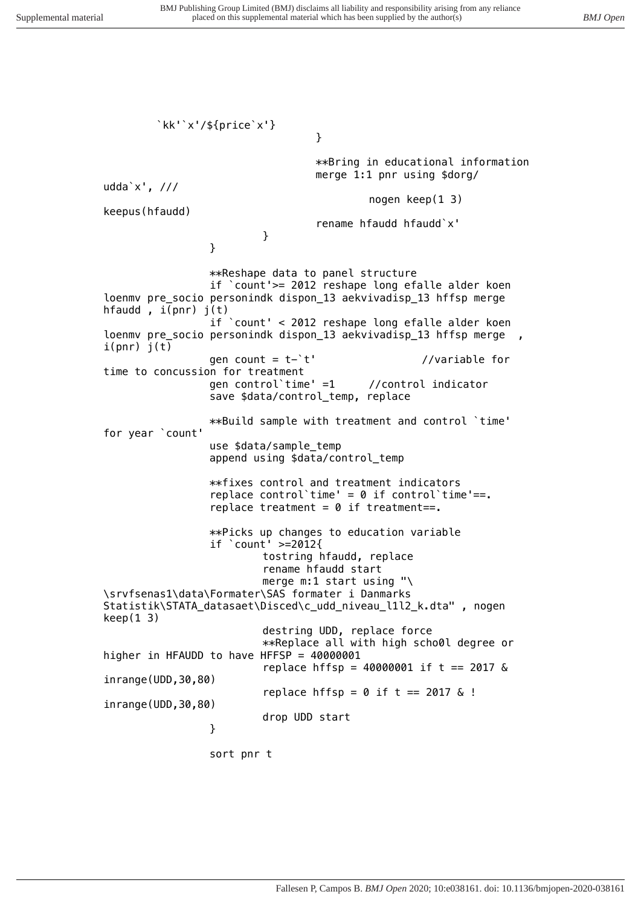*} \*\*Bring in educational information merge 1:1 pnr using \$dorg/ udda`x', /// nogen keep(1 3) keepus(hfaudd) rename hfaudd hfaudd`x' } } \*\*Reshape data to panel structure if `count'>= 2012 reshape long efalle alder koen loenmv pre\_socio personindk dispon\_13 aekvivadisp\_13 hffsp merge hfaudd , i(pnr) j(t) if `count' < 2012 reshape long efalle alder koen loenmv pre\_socio personindk dispon\_13 aekvivadisp\_13 hffsp merge i(pnr) j(t) gen count = t-`t' //variable for time to concussion for treatment gen control`time' =1 //control indicator save \$data/control\_temp, replace \*\*Build sample with treatment and control `time' for year `count' use \$data/sample\_temp append using \$data/control\_temp \*\*fixes control and treatment indicators replace control`time' = 0 if control`time'==. replace treatment = 0 if treatment==. \*\*Picks up changes to education variable if `count' >=2012{ tostring hfaudd, replace rename hfaudd start merge m:1 start using "\ \srvfsenas1\data\Formater\SAS formater i Danmarks Statistik\STATA\_datasaet\Disced\c\_udd\_niveau\_l1l2\_k.dta" , nogen keep(1 3) destring UDD, replace force \*\*Replace all with high scho0l degree or higher in HFAUDD to have HFFSP = 40000001 replace hffsp = 40000001 if t == 2017 & inrange(UDD,30,80) replace hffsp = 0 if t == 2017 & ! inrange(UDD,30,80) drop UDD start } sort pnr t*

*`kk'`x'/\${price`x'}*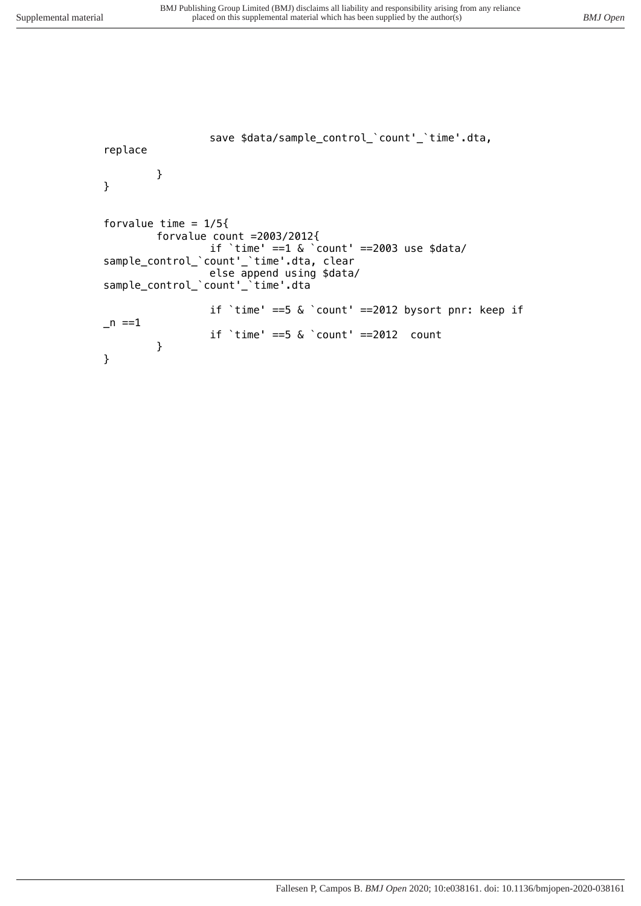```
save $data/sample_control_`count'_`time'.dta, 
replace
        }
}
forvalue time = 1/5{
        forvalue count =2003/2012{
                 if `time' ==1 & `count' ==2003 use $data/
sample_control_`count'_`time'.dta, clear
                 else append using $data/
sample_control_`count'_`time'.dta
                 if `time' ==5 & `count' ==2012 bysort pnr: keep if 
_n ==1
                 if `time' ==5 & `count' ==2012 count
        }
}
```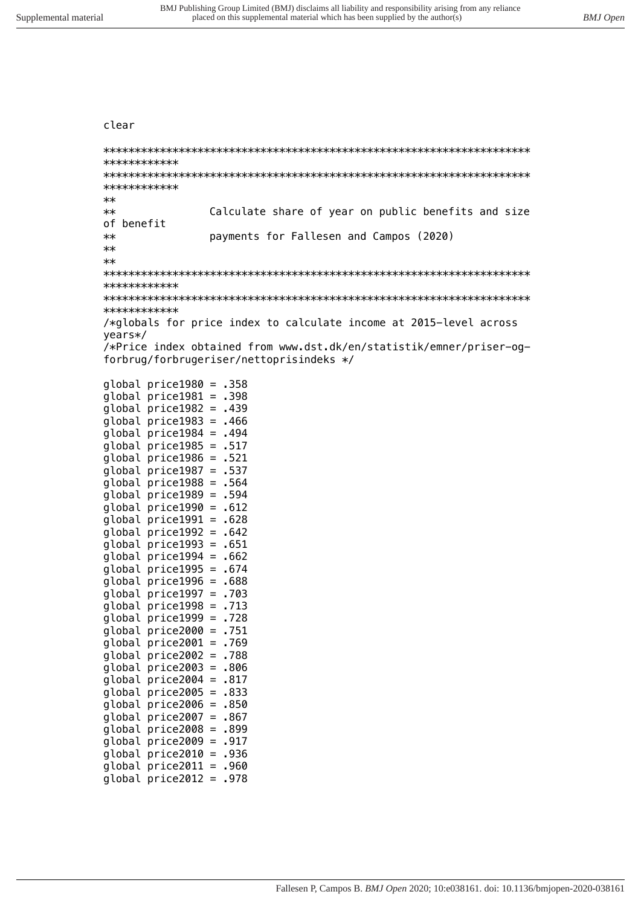clear

```
************
************
****Calculate share of year on public benefits and size
of benefit
             payments for Fallesen and Campos (2020)
******************
************
/*globals for price index to calculate income at 2015-level across
years*/
/*Price index obtained from www.dst.dk/en/statistik/emner/priser-og-
forbrug/forbrugeriser/nettoprisindeks */
qlobal price 1980 = .358global price 1981 = .398global price 1982 = .439global price 1983 = .466global price 1984 = .494global price 1985 = .517global price 1986 = .521global price 1987 = .537global price 1988 = .564global price 1989 = .594global price 1990 = .612global price 1991 = .628global price 1992 = .642global price 1993 = .651global price 1994 = .662global price 1995 = .674global price 1996 = .688global price 1997 = .703global price 1998 = .713global price 1999 = .728qlobal price 2000 = 751global price2001 = .769qlobal price2002 = .788qlobal price2003 = .806global price2004 = .817global price 2005 = .833global price2006 = .850global price2007 = .867global price2008 = .899
global price2009 = .917global price2010 = .936
global price 2011 = .960global price2012 = .978
```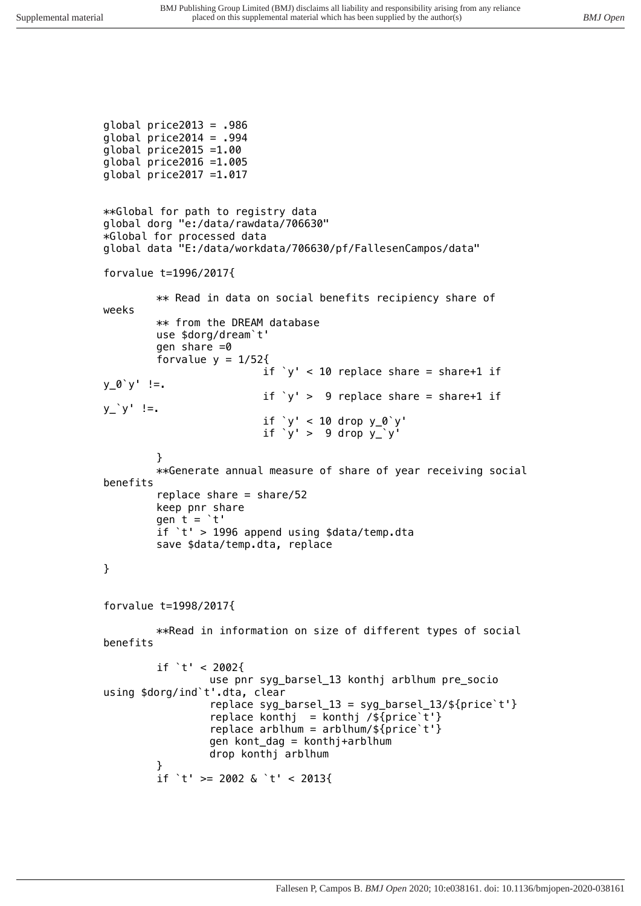```
global price2013 = .986
global price2014 = .994global price2015 =1.00
global price2016 =1.005
global price2017 =1.017
**Global for path to registry data
global dorg "e:/data/rawdata/706630"
*Global for processed data
global data "E:/data/workdata/706630/pf/FallesenCampos/data"
forvalue t=1996/2017{
        ** Read in data on social benefits recipiency share of 
weeks 
        ** from the DREAM database 
        use $dorg/dream`t'
        gen share =0forvalue y = 1/52{
                          if \forall v' < 10 replace share = share+1 if
y_0'<sup>'</sup> y' !=.
                          if \forall' > 9 replace share = share+1 if
y^{\prime} y' !=.
                          if `y' < 10 drop y_0`y'
                          if 'y' > 9 drop y'_y'}
        **Generate annual measure of share of year receiving social 
benefits
        replace share = share/52keep pnr share
        gen t = 't'if `t' > 1996 append using $data/temp.dta
        save $data/temp.dta, replace
}
forvalue t=1998/2017{
        **Read in information on size of different types of social
benefits
        if 't' < 2002{
                 use pnr syg_barsel_13 konthj arblhum pre_socio 
using $dorg/ind`t'.dta, clear
```
replace syg\_barsel\_13 = syg\_barsel\_13/\${price`t'} replace konthj = konthj /\${price`t'} replace arblhum =  $arblnum/$ \${price`t'} gen kont\_dag = konthj+arblhum drop konthj arblhum }

```
if `t' >= 2002 & `t' < 2013{
```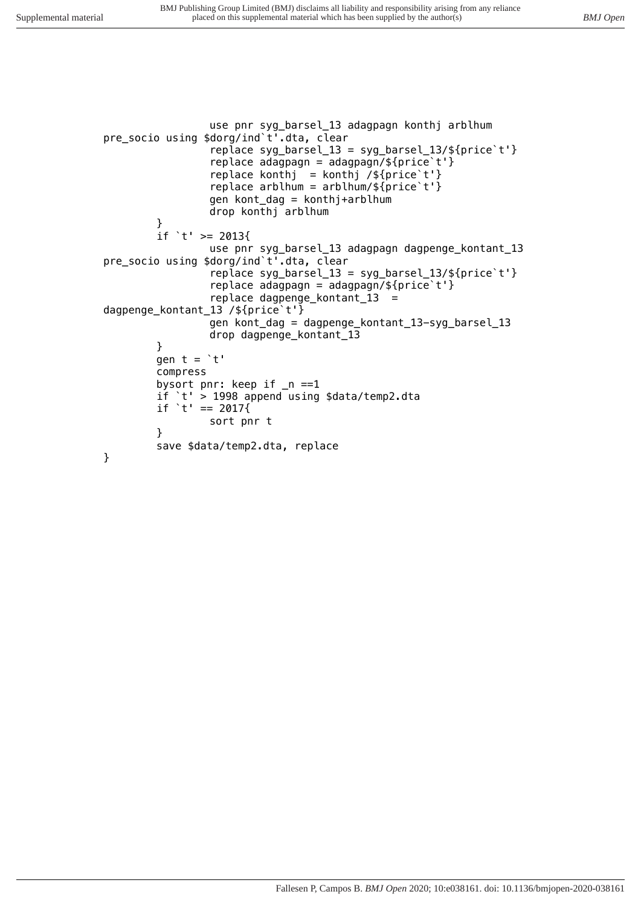```
use pnr syg_barsel_13 adagpagn konthj arblhum 
pre_socio using $dorg/ind`t'.dta, clear
                 replace syg_barsel_13 = syg_barsel_13/${price`t'}
                 replace adagpagn = adagpagn/${price`t'}
                 replace konthj = konthj /${price`t'}
                 replace arblhum = arblnum/${price`t'}
                 gen kont_dag = konthj+arblhum
                 drop konthj arblhum
        }
        if `t' >= 2013{
                 use pnr syg_barsel_13 adagpagn dagpenge_kontant_13 
pre_socio using $dorg/ind`t'.dta, clear
                 replace syg_barsel_13 = syg_barsel_13/${price`t'}
                 replace adagpagn = adagpagn/${price`t'}
                 replace dagpenge_kontant_13 = 
dagpenge_kontant_13 /${price`t'}
                 gen kont_dag = dagpenge_kontant_13-syg_barsel_13
                 drop dagpenge_kontant_13
        }
        gen t = 't'compress
        bysort pnr: keep if _n ==1
        if `t' > 1998 append using $data/temp2.dta
        if 't' == 2017{
                 sort pnr t 
        }
        save $data/temp2.dta, replace
```
}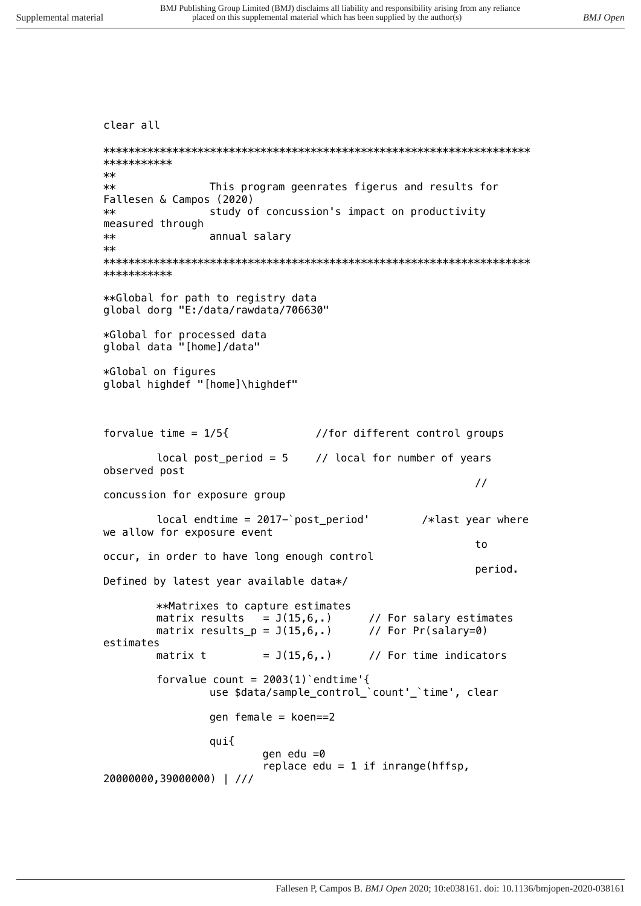```
clear all
***********
****This program geenrates figerus and results for
Fallesen & Campos (2020)
               study of concussion's impact on productivity
**measured through
**annual salary
*************
**Global for path to registry data
global dorg "E:/data/rawdata/706630"
*Global for processed data
global data "[home]/data"
*Global on figures
global highdef "[home]\highdef"
forvalue time = 1/5{
                              //for different control groups
                             // local for number of years
       local post\_period = 5observed post
                                                     \frac{1}{2}concussion for exposure group
       local endtime = 2017-'post_period'
                                             /*last year where
we allow for exposure event
                                                     t_0occur, in order to have long enough control
                                                     period.
Defined by latest year available data*/
       **Matrixes to capture estimates
                                     // For salary estimates
       matrix results = J(15,6,.)matrix results_p = J(15,6,.)// For Pr(salary=0)
estimates
                      = J(15, 6, .)// For time indicators
       matrix t
       forvalue count = 2003(1) endtime'{
               use $data/sample_control_'count'_'time', clear
               gen female = koen==2qui{
                      gen edu =0replace edu = 1 if inrange(hffsp,
20000000,39000000) | ///
```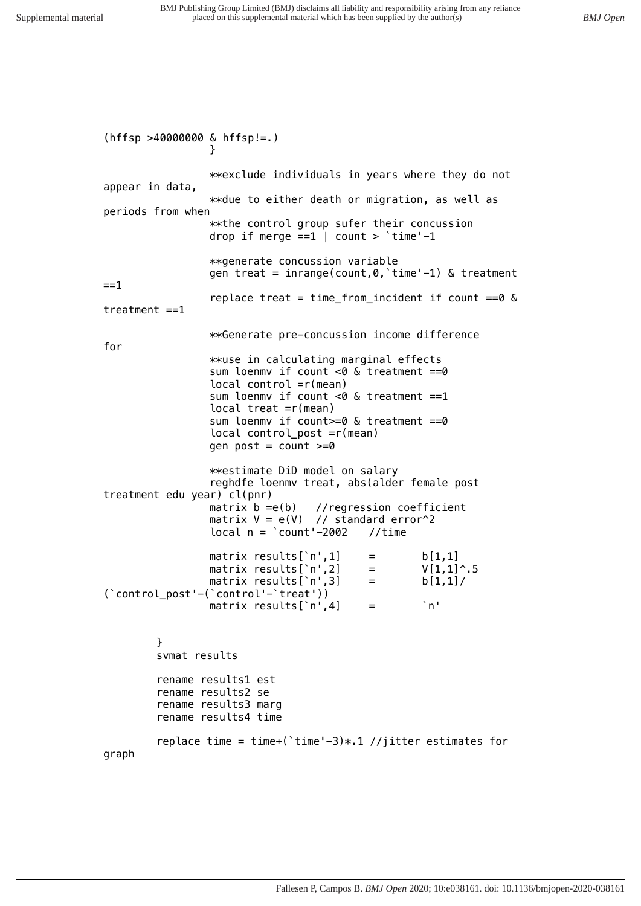*(hffsp >40000000 & hffsp!=.) } \*\*exclude individuals in years where they do not appear in data, \*\*due to either death or migration, as well as periods from when \*\*the control group sufer their concussion drop if merge ==1 | count > `time'-1 \*\*generate concussion variable gen treat = inrange(count,0,`time'-1) & treatment ==1 replace treat = time\_from\_incident if count ==0 & treatment ==1 \*\*Generate pre-concussion income difference for \*\*use in calculating marginal effects sum loenmv if count <0 & treatment ==0 local control =r(mean) sum loenmv if count <0 & treatment ==1 local treat =r(mean) sum loenmv if count>=0 & treatment ==0 local control\_post =r(mean) gen post = count >=0 \*\*estimate DiD model on salary reghdfe loenmv treat, abs(alder female post treatment edu year) cl(pnr) matrix b =e(b) //regression coefficient matrix V = e(V) // standard error^2 local n = `count'-2002 //time* matrix results[`n',1] = b[1,1]<br>matrix results[`n',2] = V[1,1]^.5 *matrix results['n'*,2] = *matrix results[`n',3] = b[1,1]/ (`control\_post'-(`control'-`treat')) matrix results[`n',4] = `n' } svmat results rename results1 est rename results2 se rename results3 marg rename results4 time replace time = time+(`time'-3)\*.1 //jitter estimates for graph*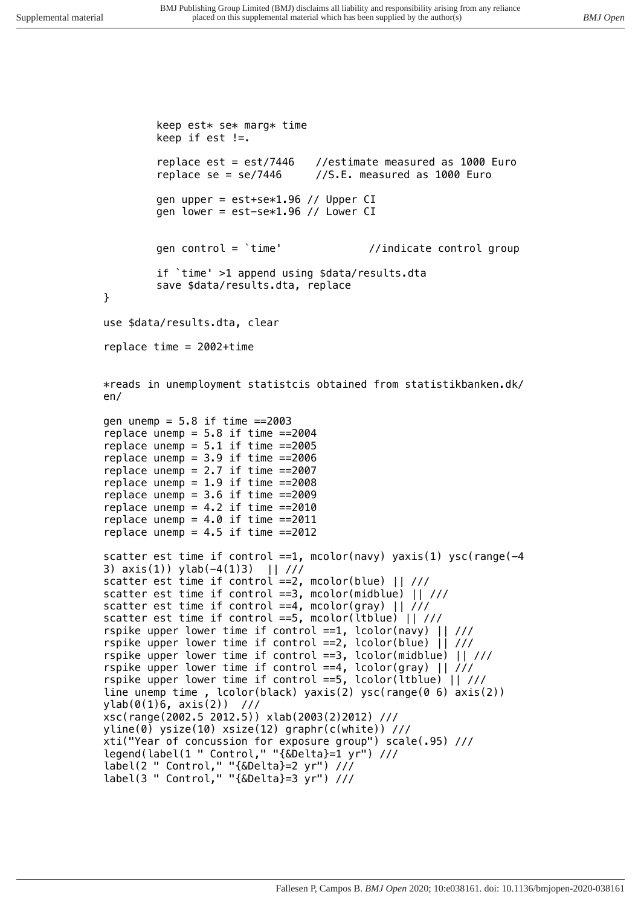```
keep est* se* marg* time
        keep if est !=.
        replace est = est/7446 //estimate measured as 1000 Euro
        replace se = se/7446 //S.E. measured as 1000 Euro
        gen upper = est+se*1.96 // Upper CI
        gen lower = est-se*1.96 // Lower CI
        gen control = `time' //indicate control group
        if `time' >1 append using $data/results.dta
        save $data/results.dta, replace
}
use $data/results.dta, clear
replace time = 2002+time
*reads in unemployment statistcis obtained from statistikbanken.dk/
en/
gen unemp = 5.8 if time ==2003
replace unemp = 5.8 if time ==2004
replace unemp = 5.1 if time ==2005
replace unemp = 3.9 if time ==2006
replace unemp = 2.7 if time ==2007
replace unemp = 1.9 if time ==2008
replace unemp = 3.6 if time ==2009
replace unemp = 4.2 if time ==2010
replace unemp = 4.0 if time ==2011
replace unemp = 4.5 if time ==2012
scatter est time if control ==1, mcolor(navy) yaxis(1) ysc(range(-4 
3) axis(1)) ylab(-4(1)3) || ///
scatter est time if control ==2, mcolor(blue) || ///
scatter est time if control ==3, mcolor(midblue) || ///
scatter est time if control ==4, mcolor(gray) || ///
scatter est time if control ==5, mcolor(ltblue) || ///
rspike upper lower time if control ==1, lcolor(navy) || ///
rspike upper lower time if control ==2, lcolor(blue) || ///
rspike upper lower time if control ==3, lcolor(midblue) || ///
rspike upper lower time if control ==4, lcolor(gray) || ///
rspike upper lower time if control ==5, lcolor(ltblue) || ///
line unemp time , lcolor(black) yaxis(2) ysc(range(0 6) axis(2)) 
ylab(0(1)6, axis(2)) ///
xsc(range(2002.5 2012.5)) xlab(2003(2)2012) ///
yline(0) ysize(10) xsize(12) graphr(c(white)) ///
xti("Year of concussion for exposure group") scale(.95) ///
legend(label(1 " Control," "{&Delta}=1 yr") ///
label(2 " Control," "{&Delta}=2 yr") ///
label(3 " Control," "{&Delta}=3 yr") ///
```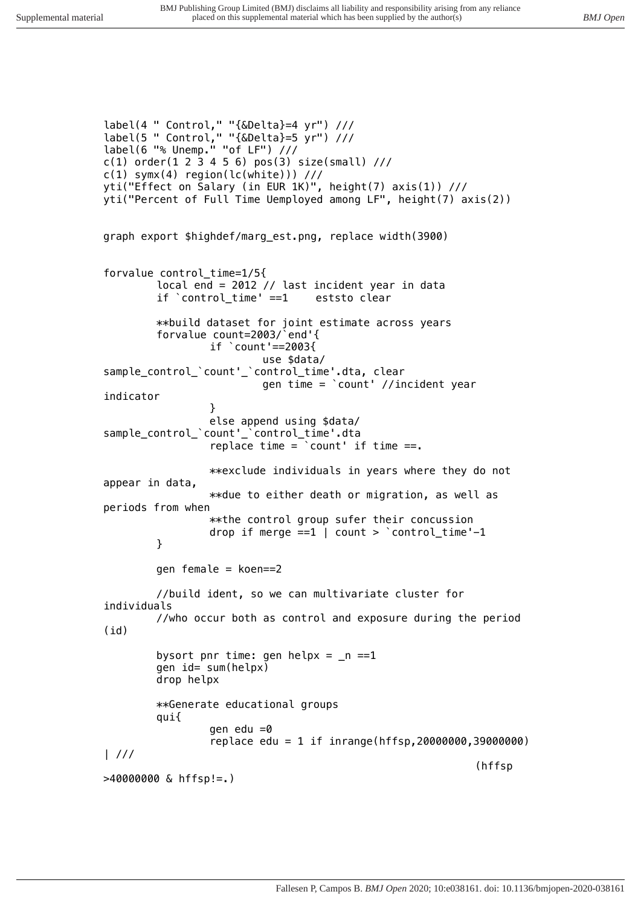```
label(4 " Control," "{&Delta}=4 yr") ///
label(5 " Control," "{&Delta}=5 yr") ///
label(6 "% Unemp." "of LF") ///
c(1) order(1 2 3 4 5 6) pos(3) size(small) ///
c(1) symx(4) region(lc(white))) ///
yti("Effect on Salary (in EUR 1K)", height(7) axis(1)) ///
yti("Percent of Full Time Uemployed among LF", height(7) axis(2)) 
graph export $highdef/marg_est.png, replace width(3900)
forvalue control_time=1/5{
        local end = 2012 // last incident year in data
        if `control_time' ==1 eststo clear
        **build dataset for joint estimate across years
        forvalue count=2003/`end'{
                 if `count'==2003{
                         use $data/
sample_control_`count'_`control_time'.dta, clear
                         gen time = `count' //incident year 
indicator
                 }
                 else append using $data/
sample_control_`count'_`control_time'.dta
                 replace time = `count' if time ==.
                 **exclude individuals in years where they do not 
appear in data, 
                 **due to either death or migration, as well as 
periods from when
                 **the control group sufer their concussion
                 drop if merge ==1 | count > `control_time'-1
        }
        gen female = koen==2
        //build ident, so we can multivariate cluster for 
individuals
        //who occur both as control and exposure during the period 
(id)
        bysort pnr time: gen helpx = _n ==1
        gen id= sum(helpx)
        drop helpx
        **Generate educational groups
        qui{
                 gen edu =0
                 replace edu = 1 if inrange(hffsp,20000000,39000000) 
| ///
                                                            (hffsp 
>40000000 & hffsp!=.)
```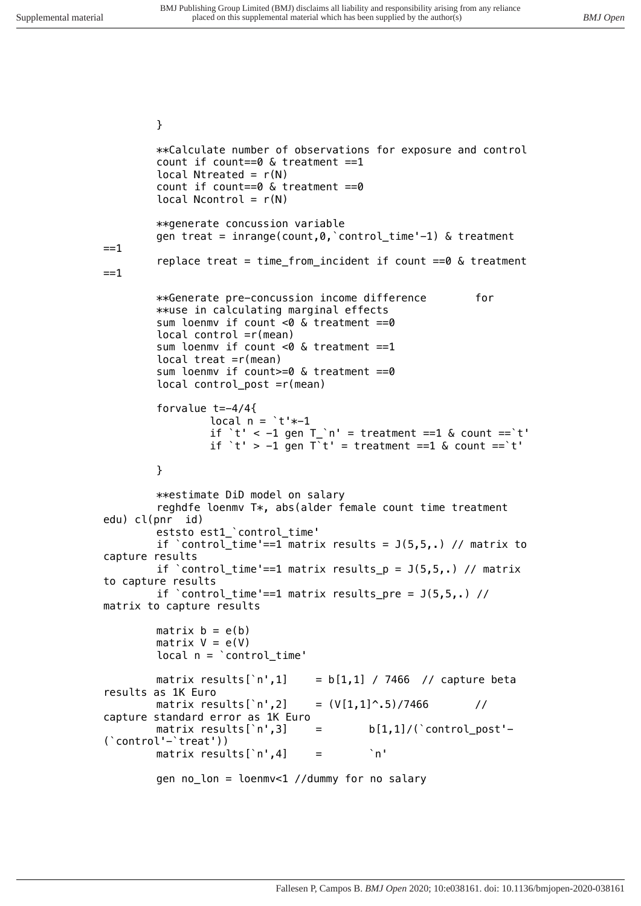*} \*\*Calculate number of observations for exposure and control count if count==0 & treatment ==1 local Ntreated = r(N) count if count==0 & treatment ==0 local Ncontrol = r(N) \*\*generate concussion variable gen treat = inrange(count,0,`control\_time'-1) & treatment ==1 replace treat = time\_from\_incident if count ==0 & treatment ==1 \*\*Generate pre-concussion income difference for \*\*use in calculating marginal effects sum loenmv if count <0 & treatment ==0 local control =r(mean) sum loenmv if count <0 & treatment ==1 local treat =r(mean) sum loenmv if count>=0 & treatment ==0 local control\_post =r(mean) forvalue t=-4/4{ local n = `t'\*-1 if `t' < -1 gen T\_`n' = treatment ==1 & count ==`t' if `t' > -1 gen T`t' = treatment ==1 & count ==`t' } \*\*estimate DiD model on salary reghdfe loenmv T\*, abs(alder female count time treatment edu) cl(pnr id) eststo est1\_`control\_time' if `control\_time'==1 matrix results = J(5,5,.) // matrix to capture results if `control\_time'==1 matrix results\_p = J(5,5,.) // matrix to capture results if `control\_time'==1 matrix results\_pre = J(5,5,.) // matrix to capture results matrix b = e(b) matrix V = e(V) local n = `control\_time' matrix results[`n',1] = b[1,1] / 7466 // capture beta results as 1K Euro matrix results[`n',2] = (V[1,1]^.5)/7466 // capture standard error as 1K Euro matrix results[`n',3] = b[1,1]/(`control\_post'- (`control'-`treat')) matrix results[`n',4] = `n' gen no\_lon = loenmv<1 //dummy for no salary*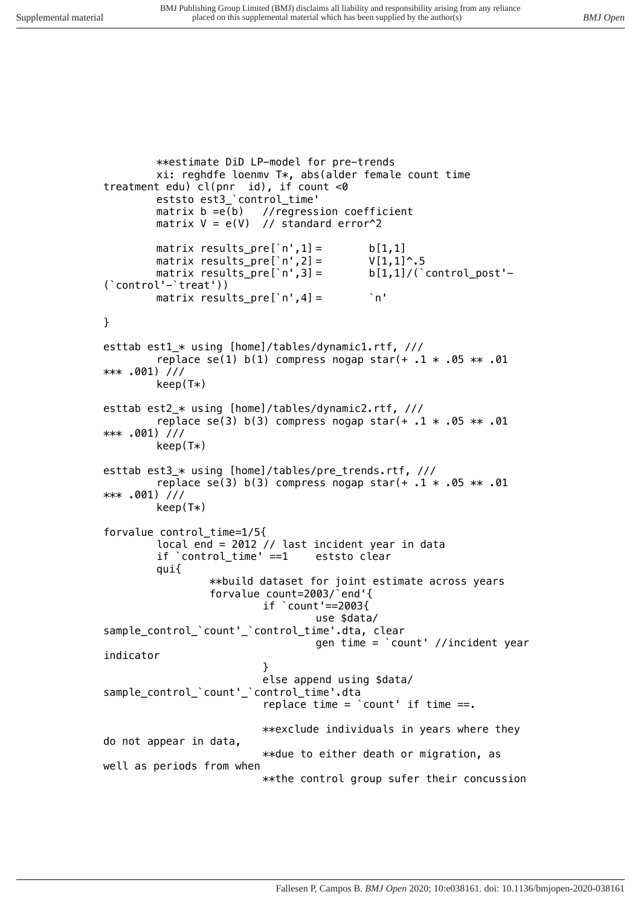```
**estimate DiD LP-model for pre-trends
         xi: reghdfe loenmv T*, abs(alder female count time 
treatment edu) cl(pnr id), if count <0
        eststo est3_`control_time'
        matrix b =e(b) //regression coefficient
        matrix V = e(V) // standard error^2
        matrix results_pre[`n',1] = b[1,1]<br>matrix results_pre[`n',2] = V[1,1]^.5
        matrix results_pre[`n',2] =
        matrix results_pre[`n',3] = b[1,1]/(`control_post'-
(`control'-`treat'))
        matrix results_pre[`n',4] = `n'
}
esttab est1_* using [home]/tables/dynamic1.rtf, ///
        replace se(1) b(1) compress nogap star(+ .1 * .05 ** .01 
*** .001) ///
        keep(T*)
esttab est2_* using [home]/tables/dynamic2.rtf, ///
        replace se(3) b(3) compress nogap star(+ .1 * .05 ** .01 
*** .001) ///
        keep(T*)
esttab est3_* using [home]/tables/pre_trends.rtf, ///
        replace se(3) b(3) compress nogap star(+ .1 * .05 ** .01 
*** .001) ///
        keep(T*)
forvalue control_time=1/5{
        local end = 2012 // last incident year in data
        if `control_time' ==1 eststo clear
        qui{
                 **build dataset for joint estimate across years
                 forvalue count=2003/`end'{
                          if `count'==2003{
                                   use $data/
sample_control_`count'_`control_time'.dta, clear
                                   gen time = `count' //incident year 
indicator
                          }
                          else append using $data/
sample_control_`count'_`control_time'.dta
                          replace time = `count' if time ==.
                          **exclude individuals in years where they 
do not appear in data, 
                          **due to either death or migration, as 
well as periods from when
                          **the control group sufer their concussion
```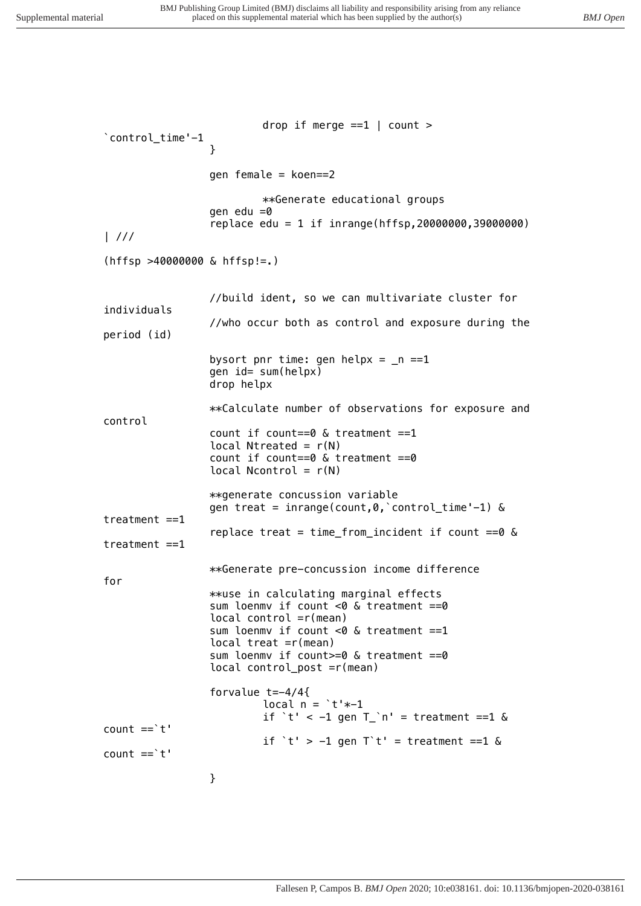*drop if merge ==1 | count > `control\_time'-1 } gen female = koen==2 \*\*Generate educational groups gen edu =0 replace edu = 1 if inrange(hffsp,20000000,39000000) | /// (hffsp >40000000 & hffsp!=.) //build ident, so we can multivariate cluster for individuals //who occur both as control and exposure during the period (id) bysort pnr time: gen helpx = \_n ==1 gen id= sum(helpx) drop helpx \*\*Calculate number of observations for exposure and control count if count==0 & treatment ==1 local Ntreated = r(N) count if count==0 & treatment ==0 local Ncontrol = r(N) \*\*generate concussion variable gen treat = inrange(count,0,`control\_time'-1) & treatment ==1 replace treat = time\_from\_incident if count ==0 & treatment ==1 \*\*Generate pre-concussion income difference for \*\*use in calculating marginal effects sum loenmv if count <0 & treatment ==0 local control =r(mean) sum loenmv if count <0 & treatment ==1 local treat =r(mean) sum loenmv if count>=0 & treatment ==0 local control\_post =r(mean) forvalue t=-4/4{ local n = `t'\*-1 if `t' < -1 gen T\_`n' = treatment ==1 & count ==`t' if `t' > -1 gen T`t' = treatment ==1 & count ==`t' }*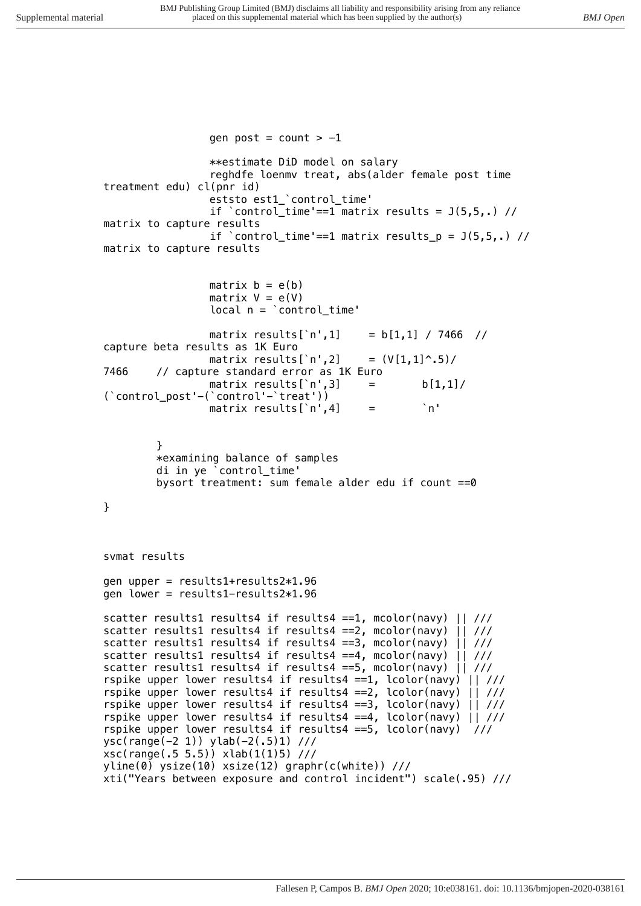```
gen post = count > -1
                **estimate DiD model on salary
                reghdfe loenmv treat, abs(alder female post time 
treatment edu) cl(pnr id)
                eststo est1_`control_time'
                if `control_time'==1 matrix results = J(5,5,.) // 
matrix to capture results
                if `control_time'==1 matrix results_p = J(5,5,.) // 
matrix to capture results
                matrix b = e(b)
                matrix V = e(V)
                local n = `control_time'
                matrix results[`n',1] = b[1,1] / 7466 // 
capture beta results as 1K Euro
                matrix results[`n',2] = (V[1,1]^.5)/
7466 // capture standard error as 1K Euro
                matrix results[`n',3] = b[1,1]/
(`control_post'-(`control'-`treat'))
                matrix results[`n',4] = `n'
        }
        *examining balance of samples
        di in ye `control_time'
        bysort treatment: sum female alder edu if count ==0
}
svmat results
gen upper = results1+results2*1.96
gen lower = results1-results2*1.96
scatter results1 results4 if results4 ==1, mcolor(navy) || ///
scatter results1 results4 if results4 ==2, mcolor(navy) || ///
scatter results1 results4 if results4 ==3, mcolor(navy) || ///
scatter results1 results4 if results4 ==4, mcolor(navy) || ///
scatter results1 results4 if results4 ==5, mcolor(navy) || ///
rspike upper lower results4 if results4 ==1, lcolor(navy) || ///
rspike upper lower results4 if results4 ==2, lcolor(navy) || ///
rspike upper lower results4 if results4 ==3, lcolor(navy) || ///
rspike upper lower results4 if results4 ==4, lcolor(navy) || ///
rspike upper lower results4 if results4 ==5, lcolor(navy) ///
ysc(range(-2 1)) ylab(-2(.5)1) ///
xsc(range(.5 5.5)) xlab(1(1)5) ///
yline(0) ysize(10) xsize(12) graphr(c(white)) ///
xti("Years between exposure and control incident") scale(.95) ///
```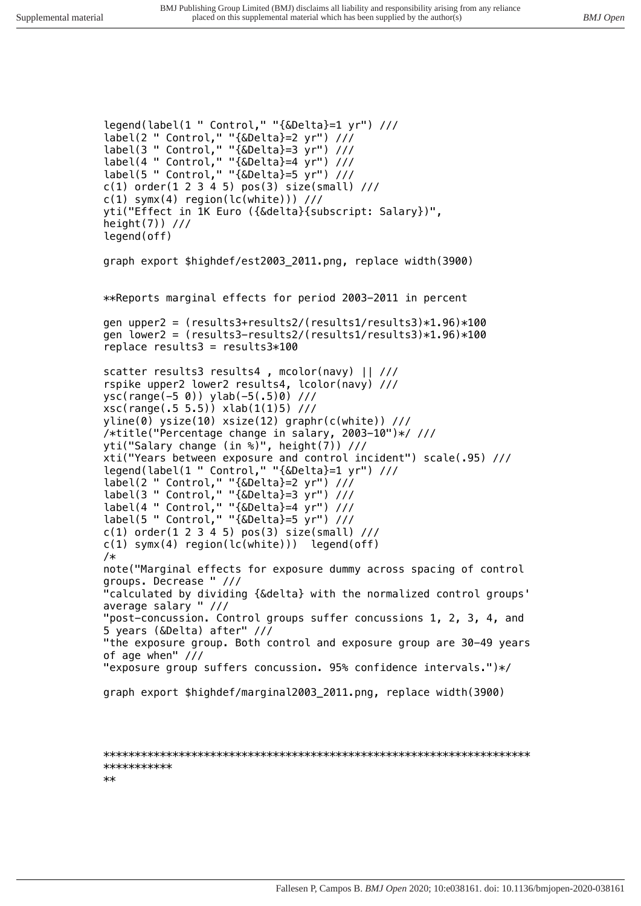*legend(label(1 " Control," "{&Delta}=1 yr") /// label(2 " Control," "{&Delta}=2 yr") /// label(3 " Control," "{&Delta}=3 yr") /// label(4 " Control," "{&Delta}=4 yr") /// label(5 " Control," "{&Delta}=5 yr") /// c(1) order(1 2 3 4 5) pos(3) size(small) /// c(1) symx(4) region(lc(white))) /// yti("Effect in 1K Euro ({&delta}{subscript: Salary})", height(7)) /// legend(off) graph export \$highdef/est2003\_2011.png, replace width(3900) \*\*Reports marginal effects for period 2003-2011 in percent gen upper2 = (results3+results2/(results1/results3)\*1.96)\*100 gen lower2 = (results3-results2/(results1/results3)\*1.96)\*100 replace results3 = results3\*100 scatter results3 results4 , mcolor(navy) || /// rspike upper2 lower2 results4, lcolor(navy) /// ysc(range(-5 0)) ylab(-5(.5)0) /// xsc(range(.5 5.5)) xlab(1(1)5) /// yline(0) ysize(10) xsize(12) graphr(c(white)) /// /\*title("Percentage change in salary, 2003-10")\*/ /// yti("Salary change (in %)", height(7)) /// xti("Years between exposure and control incident") scale(.95) /// legend(label(1 " Control," "{&Delta}=1 yr") /// label(2 " Control," "{&Delta}=2 yr") /// label(3 " Control," "{&Delta}=3 yr") /// label(4 " Control," "{&Delta}=4 yr") /// label(5 " Control," "{&Delta}=5 yr") /// c(1) order(1 2 3 4 5) pos(3) size(small) /// c(1) symx(4) region(lc(white))) legend(off) /\* note("Marginal effects for exposure dummy across spacing of control groups. Decrease " /// "calculated by dividing {&delta} with the normalized control groups' average salary " /// "post-concussion. Control groups suffer concussions 1, 2, 3, 4, and 5 years (&Delta) after" /// "the exposure group. Both control and exposure group are 30-49 years of age when" /// "exposure group suffers concussion. 95% confidence intervals.")\*/ graph export \$highdef/marginal2003\_2011.png, replace width(3900)*

*\*\*\*\*\*\*\*\*\*\*\*\*\*\*\*\*\*\*\*\*\*\*\*\*\*\*\*\*\*\*\*\*\*\*\*\*\*\*\*\*\*\*\*\*\*\*\*\*\*\*\*\*\*\*\*\*\*\*\*\*\*\*\*\*\*\*\*\* \*\*\*\*\*\*\*\*\*\*\* \*\**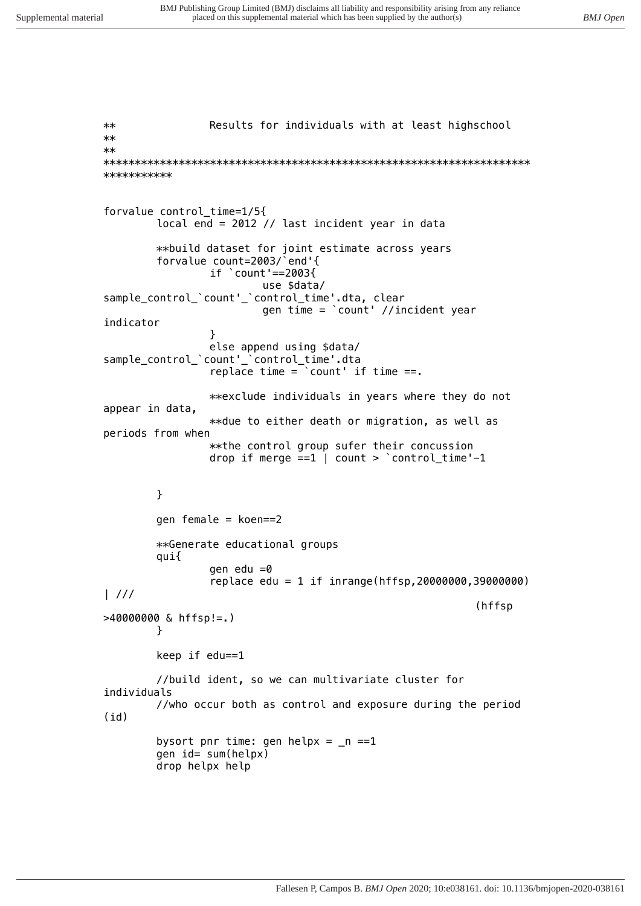*\*\* Results for individuals with at least highschool \*\* \*\* \*\*\*\*\*\*\*\*\*\*\*\*\*\*\*\*\*\*\*\*\*\*\*\*\*\*\*\*\*\*\*\*\*\*\*\*\*\*\*\*\*\*\*\*\*\*\*\*\*\*\*\*\*\*\*\*\*\*\*\*\*\*\*\*\*\*\*\* \*\*\*\*\*\*\*\*\*\*\* forvalue control\_time=1/5{ local end = 2012 // last incident year in data \*\*build dataset for joint estimate across years forvalue count=2003/`end'{ if `count'==2003{ use \$data/ sample\_control\_`count'\_`control\_time'.dta, clear gen time = `count' //incident year indicator } else append using \$data/ sample\_control\_`count'\_`control\_time'.dta replace time = `count' if time ==. \*\*exclude individuals in years where they do not appear in data, \*\*due to either death or migration, as well as periods from when \*\*the control group sufer their concussion drop if merge ==1 | count > `control\_time'-1 } gen female = koen==2 \*\*Generate educational groups qui{ gen edu =0 replace edu = 1 if inrange(hffsp,20000000,39000000) | /// (hffsp >40000000 & hffsp!=.) } keep if edu==1 //build ident, so we can multivariate cluster for individuals //who occur both as control and exposure during the period (id) bysort pnr time: gen helpx = \_n ==1 gen id= sum(helpx) drop helpx help*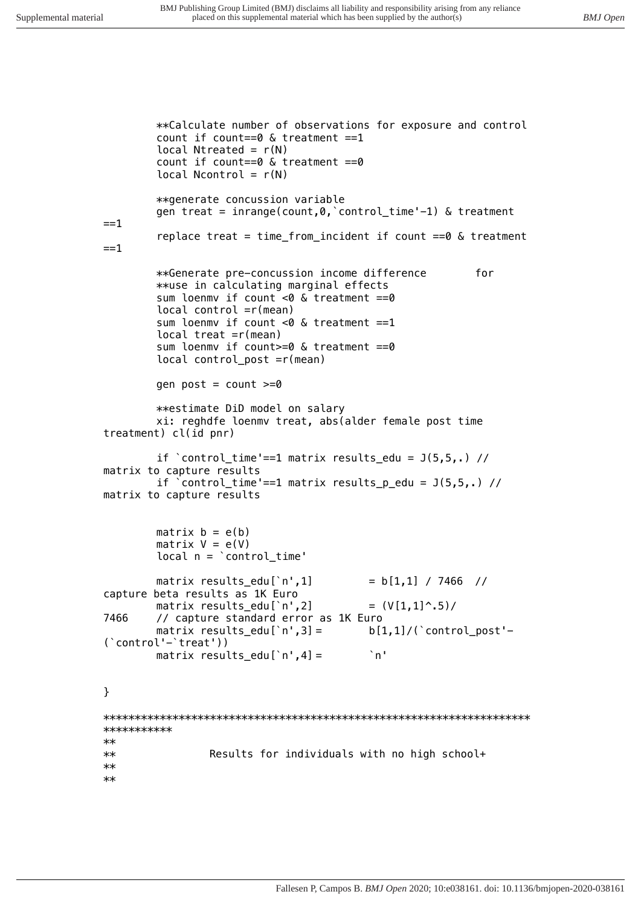\*\*Calculate number of observations for exposure and control count if count==0  $\&$  treatment ==1 local Ntreated =  $r(N)$ count if count== $0 \& treatment == 0$ local Ncontrol =  $r(N)$ \*\*generate concussion variable gen treat = inrange(count, 0, `control\_time'-1) & treatment  $=$  $=$ 1 replace treat = time from incident if count == $0$  & treatment  $==1$ for \*\*Generate pre-concussion income difference \*\*use in calculating marginal effects sum loenmy if count  $<0$  & treatment ==0  $local control = r(mean)$ sum loenmy if count <0  $\&$  treatment == 1 local treat  $=r(mean)$ sum loenmy if count>=0 & treatment ==0 local control\_post =r(mean) gen post =  $count$  >=0 \*\*estimate DiD model on salary xi: reghdfe loenmv treat, abs(alder female post time treatment) cl(id pnr) if  $\text{'control_time'} == 1 matrix results\_edu = J(5,5,.) //$ matrix to capture results if  $\text{'control_time'} == 1 matrix results_p.edu = J(5,5,.) //$ matrix to capture results  $matrix b = e(b)$ matrix  $V = e(V)$  $local n = 'control_time'$ matrix results\_edu[`n',1]  $= b[1,1] / 7466$  // capture beta results as 1K Euro matrix results\_edu[ $n',2$ ]  $=$   $(V[1,1]$   $\cdot$   $.5)$  / 7466 // capture standard error as 1K Euro matrix results edul'n'.3] =  $b[1,1]/$  ( `control\_post'- $('control'-'treat'))$  $^{\circ}$ n' matrix results\_edu[ $'n', 4] =$  $\mathcal{F}$ \*\*\*\*\*\*\*\*\*\*\*  $**$ Results for individuals with no high school+  $**$  $\star\star$  $**$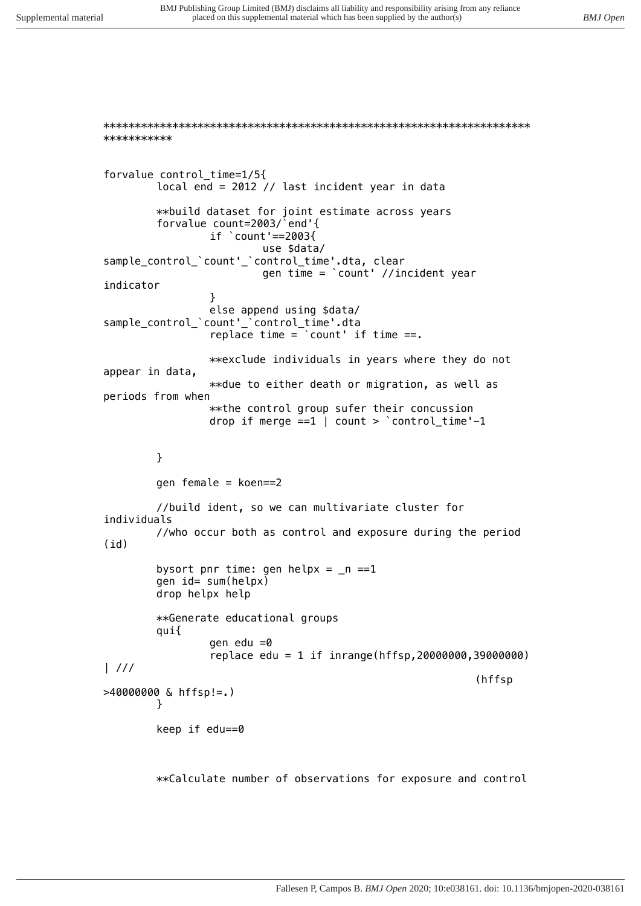\*\*\*\*\*\*\*\*\*\*\* forvalue control time=1/5{ local end =  $2012$  // last incident year in data \*\*build dataset for joint estimate across years forvalue count=2003/`end'{ if  $\degree$  count '==2003{ use \$data/ sample\_control\_'count'\_'control\_time'.dta, clear gen time =  $\text{count}$  //incident year indicator  $\mathcal{E}$ else append using \$data/ sample control `count'\_'control\_time'.dta replace time =  $\text{count}$  if time ==. \*\*exclude individuals in years where they do not appear in data, \*\*due to either death or migration, as well as periods from when \*\* the control group sufer their concussion drop if merge  $==1$  | count >  $\textdegree$  control\_time'-1  $\mathcal{E}$ gen female =  $koen==2$ //build ident, so we can multivariate cluster for individuals //who occur both as control and exposure during the period  $(hf)$ bysort pnr time: gen helpx =  $_n$  ==1 gen id= sum(helpx) drop helpx help \*\*Generate educational groups qui{ gen edu  $=0$ replace edu = 1 if inrange(hffsp, 20000000, 39000000)  $\frac{1}{1}$ (hffsp  $>40000000$  & hffsp!=.)  $\mathcal{F}$ keep if edu==0

\*\*Calculate number of observations for exposure and control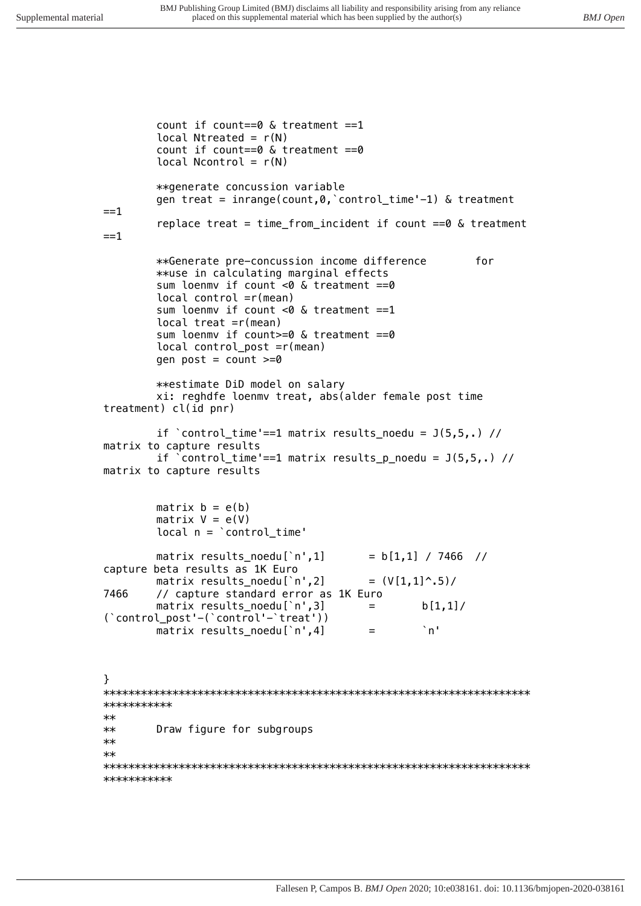*count if count==0 & treatment ==1 local Ntreated = r(N) count if count==0 & treatment ==0 local Ncontrol = r(N) \*\*generate concussion variable gen treat = inrange(count,0,`control\_time'-1) & treatment ==1 replace treat = time\_from\_incident if count ==0 & treatment ==1 \*\*Generate pre-concussion income difference for \*\*use in calculating marginal effects sum loenmv if count <0 & treatment ==0 local control =r(mean) sum loenmv if count <0 & treatment ==1 local treat =r(mean) sum loenmv if count>=0 & treatment ==0 local control\_post =r(mean) gen post = count >=0 \*\*estimate DiD model on salary xi: reghdfe loenmv treat, abs(alder female post time treatment) cl(id pnr) if `control\_time'==1 matrix results\_noedu = J(5,5,.) // matrix to capture results if `control\_time'==1 matrix results\_p\_noedu = J(5,5,.) // matrix to capture results matrix b = e(b) matrix V = e(V) local n = `control\_time' matrix results\_noedu[`n',1] = b[1,1] / 7466 // capture beta results as 1K Euro matrix results\_noedu[`n',2] = (V[1,1]^.5)/ 7466 // capture standard error as 1K Euro matrix results\_noedu[`n',3] = b[1,1]/ (`control\_post'-(`control'-`treat')) matrix results\_noedu[`n',4] = `n' } \*\*\*\*\*\*\*\*\*\*\*\*\*\*\*\*\*\*\*\*\*\*\*\*\*\*\*\*\*\*\*\*\*\*\*\*\*\*\*\*\*\*\*\*\*\*\*\*\*\*\*\*\*\*\*\*\*\*\*\*\*\*\*\*\*\*\*\* \*\*\*\*\*\*\*\*\*\*\* \*\* \*\* Draw figure for subgroups \*\* \*\* \*\*\*\*\*\*\*\*\*\*\*\*\*\*\*\*\*\*\*\*\*\*\*\*\*\*\*\*\*\*\*\*\*\*\*\*\*\*\*\*\*\*\*\*\*\*\*\*\*\*\*\*\*\*\*\*\*\*\*\*\*\*\*\*\*\*\*\**

*\*\*\*\*\*\*\*\*\*\*\**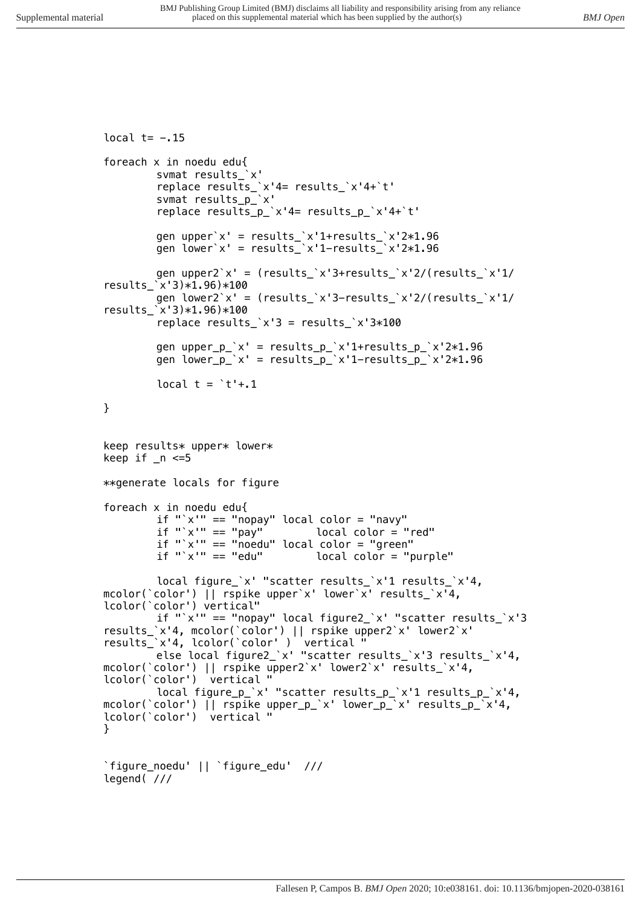```
local t= -.15
foreach x in noedu edu{
        svmat results_`x'
        replace results_`x'4= results_`x'4+`t'
        svmat results_p_`x'
        replace results_p_`x'4= results_p_`x'4+`t'
        gen upper`x' = results_`x'1+results_`x'2*1.96
        gen lower`x' = results_`x'1-results_`x'2*1.96
        gen upper2`x' = (results_`x'3+results_`x'2/(results_`x'1/
results_`x'3)*1.96)*100
        gen lower2`x' = (results_`x'3-results_`x'2/(results_`x'1/
results_`x'3)*1.96)*100
        replace results_`x'3 = results_`x'3*100
        gen upper_p_`x' = results_p_`x'1+results_p_`x'2*1.96
        gen lower_p_`x' = results_p_`x'1-results_p_`x'2*1.96
        local t = `t'+.1
}
keep results* upper* lower*
keep if _n <=5
**generate locals for figure
foreach x in noedu edu{
        if "`x'" == "nopay" local color = "navy"
                              if "`x'" == "pay" local color = "red"
        if "`x'" == "noedu" local color = "green"
                                  local color = "purple"
        local figure_`x' "scatter results_`x'1 results_`x'4, 
mcolor(`color') || rspike upper`x' lower`x' results_`x'4, 
lcolor(`color') vertical"
        if "`x'" == "nopay" local figure2_`x' "scatter results_`x'3 
results_`x'4, mcolor(`color') || rspike upper2`x' lower2`x' 
results_`x'4, lcolor(`color' ) vertical "
        else local figure2_`x' "scatter results_`x'3 results_`x'4, 
mcolor(`color') || rspike upper2`x' lower2`x' results_`x'4, 
lcolor(`color') vertical "
        local figure_p_`x' "scatter results_p_`x'1 results_p_`x'4, 
mcolor(`color') || rspike upper_p_`x' lower_p_`x' results_p_`x'4, 
lcolor(`color') vertical "
}
`figure_noedu' || `figure_edu' ///
legend( ///
```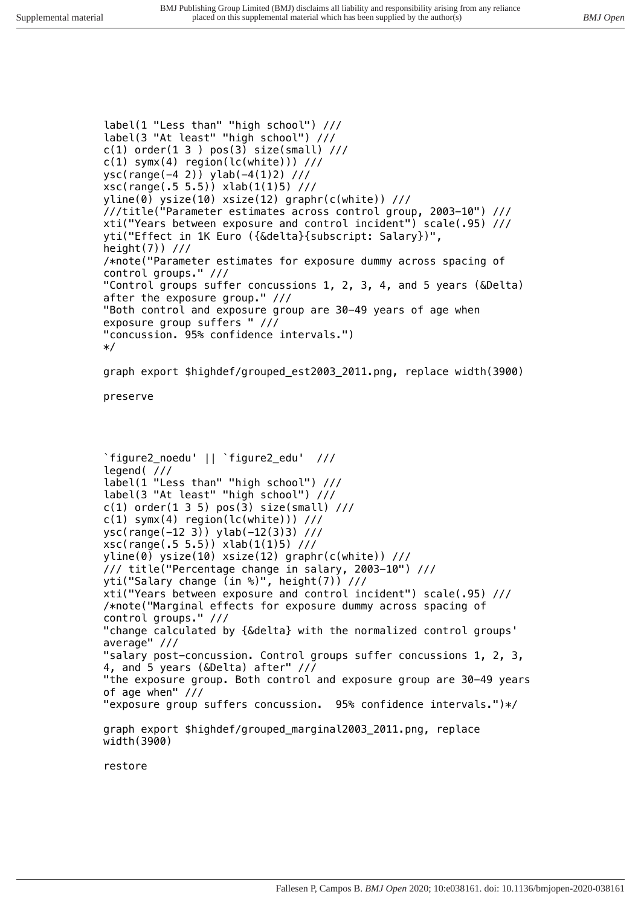*label(1 "Less than" "high school") /// label(3 "At least" "high school") /// c(1) order(1 3 ) pos(3) size(small) ///*

*c(1) symx(4) region(lc(white))) /// ysc(range(-4 2)) ylab(-4(1)2) /// xsc(range(.5 5.5)) xlab(1(1)5) /// yline(0) ysize(10) xsize(12) graphr(c(white)) /// ///title("Parameter estimates across control group, 2003-10") /// xti("Years between exposure and control incident") scale(.95) /// yti("Effect in 1K Euro ({&delta}{subscript: Salary})", height(7)) /// /\*note("Parameter estimates for exposure dummy across spacing of control groups." /// "Control groups suffer concussions 1, 2, 3, 4, and 5 years (&Delta) after the exposure group." /// "Both control and exposure group are 30-49 years of age when exposure group suffers " /// "concussion. 95% confidence intervals.") \*/ graph export \$highdef/grouped\_est2003\_2011.png, replace width(3900) preserve `figure2\_noedu' || `figure2\_edu' /// legend( /// label(1 "Less than" "high school") /// label(3 "At least" "high school") /// c(1) order(1 3 5) pos(3) size(small) /// c(1) symx(4) region(lc(white))) /// ysc(range(-12 3)) ylab(-12(3)3) /// xsc(range(.5 5.5)) xlab(1(1)5) /// yline(0) ysize(10) xsize(12) graphr(c(white)) /// /// title("Percentage change in salary, 2003-10") /// yti("Salary change (in %)", height(7)) /// xti("Years between exposure and control incident") scale(.95) /// /\*note("Marginal effects for exposure dummy across spacing of control groups." /// "change calculated by {&delta} with the normalized control groups' average" /// "salary post-concussion. Control groups suffer concussions 1, 2, 3, 4, and 5 years (&Delta) after" /// "the exposure group. Both control and exposure group are 30-49 years of age when" /// "exposure group suffers concussion. 95% confidence intervals.")\*/ graph export \$highdef/grouped\_marginal2003\_2011.png, replace width(3900)*

*restore*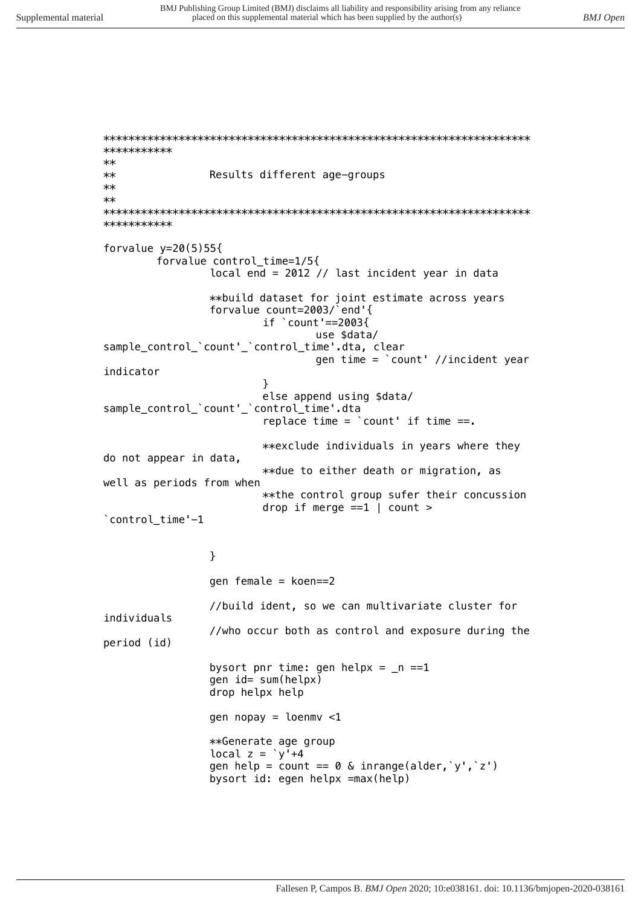\*\*\*\*\*\*\*\*\*\*\*  $**$  $**$ Results different age-groups  $\star\star$  $**$ \*\*\*\*\*\*\*\*\*\*\* forvalue  $y=20(5)55\{$ forvalue control\_time=1/5{ local end = 2012 // last incident year in data \*\*build dataset for joint estimate across years forvalue count=2003/`end'{ if  $\degree$  count '==2003{ use \$data/ sample\_control\_'count'\_'control\_time'.dta, clear gen time = `count' //incident year indicator ł else append using \$data/ sample control `count' `control time'.dta replace time =  $\text{count}$  if time ==. \*\*exclude individuals in years where they do not appear in data, \*\*due to either death or migration, as well as periods from when \*\* the control group sufer their concussion drop if merge  $==1$  | count > `control\_time'-1 } gen female =  $koen==2$ //build ident, so we can multivariate cluster for individuals

period (id)

bysort pnr time: gen helpx =  $_n$  ==1 gen id= sum(helpx) drop helpx help

gen nopay =  $l$ oenmv <1 \*\*Generate age group local  $z = \sqrt{y^2 + 4}$ gen help = count ==  $0 \&$  inrange(alder,  $y', z'$ ) bysort id: egen helpx =max(help)

//who occur both as control and exposure during the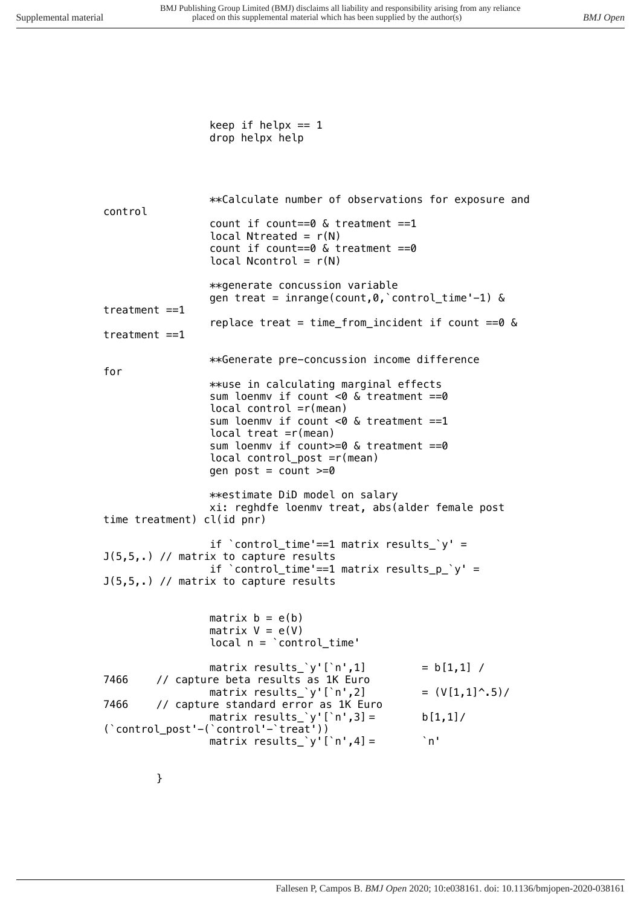*keep if helpx == 1 drop helpx help \*\*Calculate number of observations for exposure and control count if count==0 & treatment ==1 local Ntreated = r(N) count if count==0 & treatment ==0 local Ncontrol = r(N) \*\*generate concussion variable gen treat = inrange(count,0,`control\_time'-1) & treatment ==1 replace treat = time\_from\_incident if count ==0 & treatment ==1 \*\*Generate pre-concussion income difference for \*\*use in calculating marginal effects sum loenmv if count <0 & treatment ==0 local control =r(mean) sum loenmv if count <0 & treatment ==1 local treat =r(mean) sum loenmv if count>=0 & treatment ==0 local control\_post =r(mean) gen post = count >=0 \*\*estimate DiD model on salary xi: reghdfe loenmv treat, abs(alder female post time treatment) cl(id pnr) if `control\_time'==1 matrix results\_`y' = J(5,5,.) // matrix to capture results if `control\_time'==1 matrix results\_p\_`y' = J(5,5,.) // matrix to capture results matrix b = e(b) matrix V = e(V) local n = `control\_time' matrix results\_`y'[`n',1] = b[1,1] / 7466 // capture beta results as 1K Euro matrix results\_`y'[`n',2] = (V[1,1]^.5)/ 7466 // capture standard error as 1K Euro matrix results\_`y'[`n',3] = b[1,1]/ (`control\_post'-(`control'-`treat')) matrix results\_`y'[`n',4] = `n'*

*}*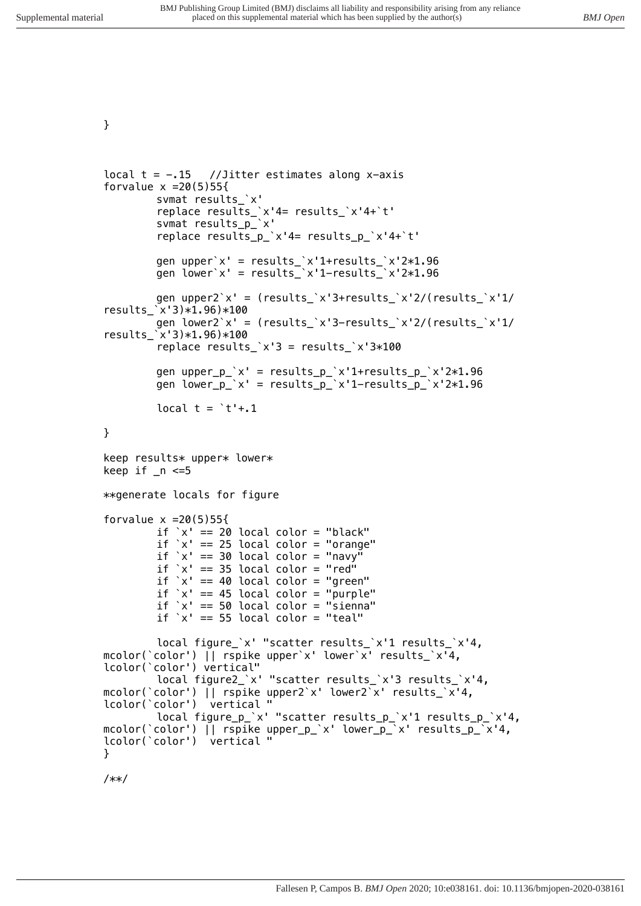```
}
```

```
local t = -.15 //Jitter estimates along x-axis
forvalue x =20(5)55{
        svmat results_`x'
        replace results_`x'4= results_`x'4+`t'
        svmat results_p_`x'
        replace results_p_`x'4= results_p_`x'4+`t'
        gen upper`x' = results_`x'1+results_`x'2*1.96
        gen lower`x' = results_`x'1-results_`x'2*1.96
        gen upper2`x' = (results_`x'3+results_`x'2/(results_`x'1/
results_`x'3)*1.96)*100
        gen lower2`x' = (results_`x'3-results_`x'2/(results_`x'1/
results_`x'3)*1.96)*100
        replace results_`x'3 = results_`x'3*100
        gen upper_p_`x' = results_p_`x'1+results_p_`x'2*1.96
        gen lower_p_`x' = results_p_`x'1-results_p_`x'2*1.96
        local t = `t'+.1
}
keep results* upper* lower*
keep if _n <=5
**generate locals for figure
forvalue x =20(5)55{
        if `x' == 20 local color = "black"
        if `x' == 25 local color = "orange"
        if `x' == 30 local color = "navy"
        if `x' == 35 local color = "red"
        if `x' == 40 local color = "green"
        if `x' == 45 local color = "purple"
        if `x' == 50 local color = "sienna"
        if `x' == 55 local color = "teal"
        local figure_`x' "scatter results_`x'1 results_`x'4, 
mcolor(`color') || rspike upper`x' lower`x' results_`x'4, 
lcolor(`color') vertical"
        local figure2_`x' "scatter results_`x'3 results_`x'4, 
mcolor(`color') || rspike upper2`x' lower2`x' results_`x'4, 
lcolor(`color') vertical "
        local figure_p_`x' "scatter results_p_`x'1 results_p_`x'4, 
mcolor(`color') || rspike upper_p_`x' lower_p_`x' results_p_`x'4, 
lcolor(`color') vertical "
}
```
*/\*\*/*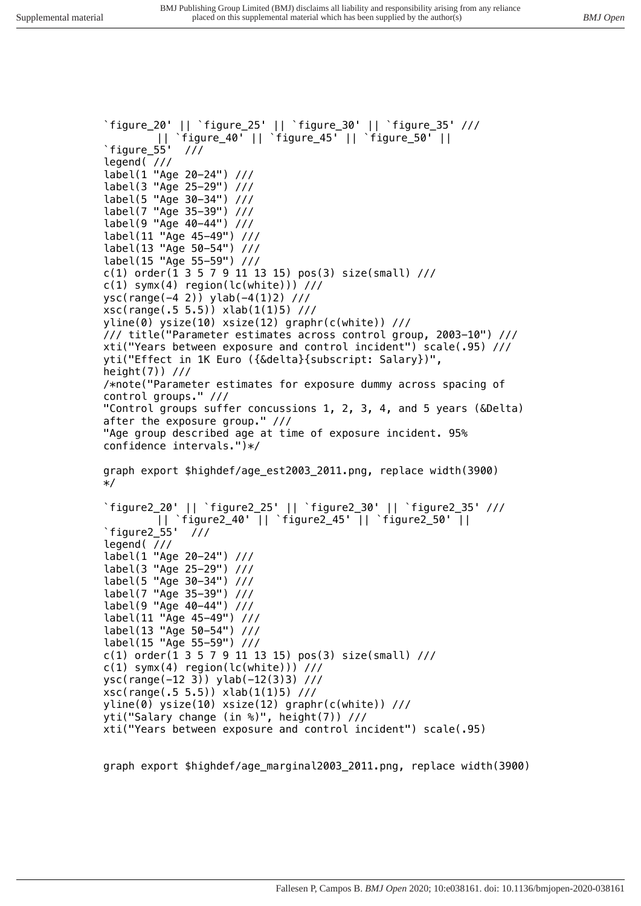*`figure\_20' || `figure\_25' || `figure\_30' || `figure\_35' /// || `figure\_40' || `figure\_45' || `figure\_50' || `figure\_55' /// legend( /// label(1 "Age 20-24") /// label(3 "Age 25-29") /// label(5 "Age 30-34") /// label(7 "Age 35-39") /// label(9 "Age 40-44") /// label(11 "Age 45-49") /// label(13 "Age 50-54") /// label(15 "Age 55-59") /// c(1) order(1 3 5 7 9 11 13 15) pos(3) size(small) /// c(1) symx(4) region(lc(white))) /// ysc(range(-4 2)) ylab(-4(1)2) /// xsc(range(.5 5.5)) xlab(1(1)5) /// yline(0) ysize(10) xsize(12) graphr(c(white)) /// /// title("Parameter estimates across control group, 2003-10") /// xti("Years between exposure and control incident") scale(.95) /// yti("Effect in 1K Euro ({&delta}{subscript: Salary})", height(7)) /// /\*note("Parameter estimates for exposure dummy across spacing of control groups." /// "Control groups suffer concussions 1, 2, 3, 4, and 5 years (&Delta) after the exposure group." /// "Age group described age at time of exposure incident. 95% confidence intervals.")\*/ graph export \$highdef/age\_est2003\_2011.png, replace width(3900) \*/ `figure2\_20' || `figure2\_25' || `figure2\_30' || `figure2\_35' /// || `figure2\_40' || `figure2\_45' || `figure2\_50' || `figure2\_55' /// legend( /// label(1 "Age 20-24") /// label(3 "Age 25-29") /// label(5 "Age 30-34") /// label(7 "Age 35-39") /// label(9 "Age 40-44") /// label(11 "Age 45-49") /// label(13 "Age 50-54") /// label(15 "Age 55-59") /// c(1) order(1 3 5 7 9 11 13 15) pos(3) size(small) /// c(1) symx(4) region(lc(white))) /// ysc(range(-12 3)) ylab(-12(3)3) /// xsc(range(.5 5.5)) xlab(1(1)5) /// yline(0) ysize(10) xsize(12) graphr(c(white)) /// yti("Salary change (in %)", height(7)) /// xti("Years between exposure and control incident") scale(.95)* 

*graph export \$highdef/age\_marginal2003\_2011.png, replace width(3900)*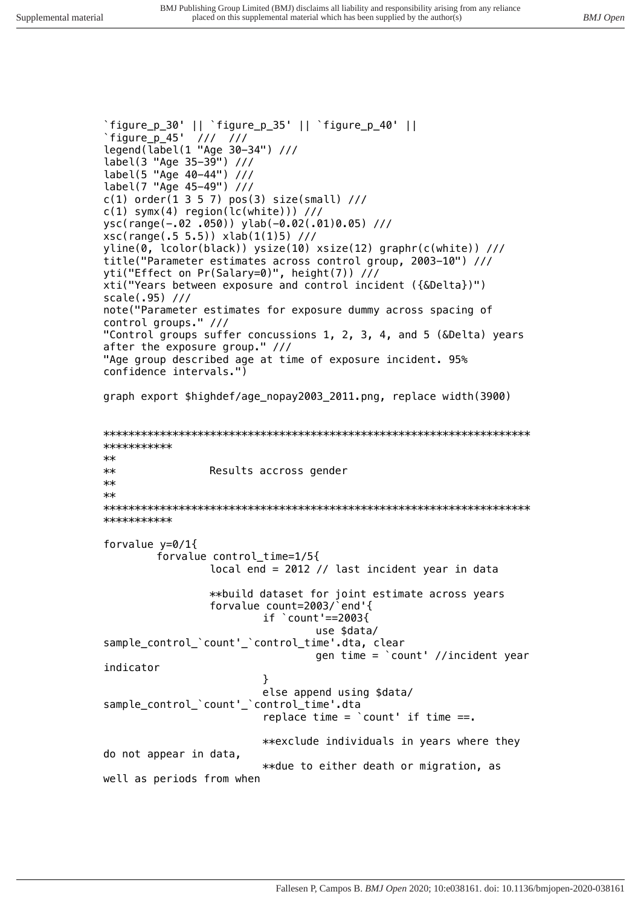*`figure\_p\_30' || `figure\_p\_35' || `figure\_p\_40' || `figure\_p\_45' /// /// legend(label(1 "Age 30-34") /// label(3 "Age 35-39") /// label(5 "Age 40-44") /// label(7 "Age 45-49") /// c(1) order(1 3 5 7) pos(3) size(small) /// c(1) symx(4) region(lc(white))) /// ysc(range(-.02 .050)) ylab(-0.02(.01)0.05) /// xsc(range(.5 5.5)) xlab(1(1)5) /// yline(0, lcolor(black)) ysize(10) xsize(12) graphr(c(white)) /// title("Parameter estimates across control group, 2003-10") /// yti("Effect on Pr(Salary=0)", height(7)) /// xti("Years between exposure and control incident ({&Delta})") scale(.95) /// note("Parameter estimates for exposure dummy across spacing of control groups." /// "Control groups suffer concussions 1, 2, 3, 4, and 5 (&Delta) years after the exposure group." /// "Age group described age at time of exposure incident. 95% confidence intervals.") graph export \$highdef/age\_nopay2003\_2011.png, replace width(3900) \*\*\*\*\*\*\*\*\*\*\*\*\*\*\*\*\*\*\*\*\*\*\*\*\*\*\*\*\*\*\*\*\*\*\*\*\*\*\*\*\*\*\*\*\*\*\*\*\*\*\*\*\*\*\*\*\*\*\*\*\*\*\*\*\*\*\*\* \*\*\*\*\*\*\*\*\*\*\* \*\* \*\* Results accross gender \*\* \*\* \*\*\*\*\*\*\*\*\*\*\*\*\*\*\*\*\*\*\*\*\*\*\*\*\*\*\*\*\*\*\*\*\*\*\*\*\*\*\*\*\*\*\*\*\*\*\*\*\*\*\*\*\*\*\*\*\*\*\*\*\*\*\*\*\*\*\*\* \*\*\*\*\*\*\*\*\*\*\* forvalue y=0/1{ forvalue control\_time=1/5{ local end = 2012 // last incident year in data \*\*build dataset for joint estimate across years forvalue count=2003/`end'{ if `count'==2003{ use \$data/ sample\_control\_`count'\_`control\_time'.dta, clear gen time = `count' //incident year indicator } else append using \$data/ sample\_control\_`count'\_`control\_time'.dta replace time = `count' if time ==. \*\*exclude individuals in years where they do not appear in data, \*\*due to either death or migration, as well as periods from when*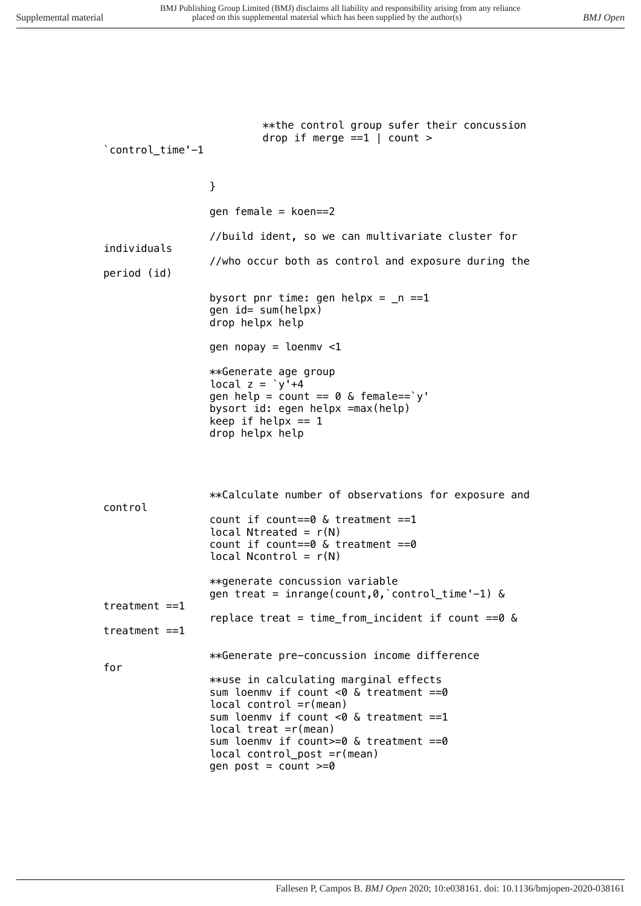*\*\*the control group sufer their concussion drop if merge ==1 | count > `control\_time'-1 } gen female = koen==2 //build ident, so we can multivariate cluster for individuals //who occur both as control and exposure during the period (id) bysort pnr time: gen helpx = \_n ==1 gen id= sum(helpx) drop helpx help gen nopay = loenmv <1 \*\*Generate age group local z = `y'+4 gen help = count == 0 & female==`y' bysort id: egen helpx =max(help) keep if helpx == 1 drop helpx help \*\*Calculate number of observations for exposure and control count if count==0 & treatment ==1 local Ntreated = r(N) count if count==0 & treatment ==0 local Ncontrol = r(N) \*\*generate concussion variable gen treat = inrange(count,0,`control\_time'-1) & treatment ==1 replace treat = time\_from\_incident if count ==0 & treatment ==1 \*\*Generate pre-concussion income difference for \*\*use in calculating marginal effects sum loenmv if count <0 & treatment ==0 local control =r(mean) sum loenmv if count <0 & treatment ==1 local treat =r(mean) sum loenmv if count>=0 & treatment ==0 local control\_post =r(mean) gen post = count >=0*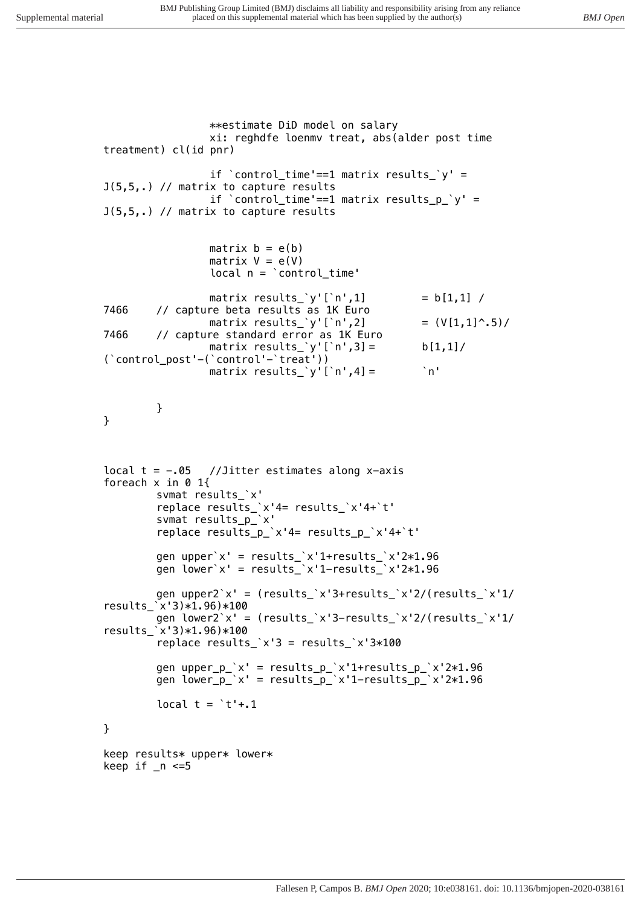```
**estimate DiD model on salary
                xi: reghdfe loenmv treat, abs(alder post time 
treatment) cl(id pnr)
                if `control_time'==1 matrix results_`y' = 
J(5,5,.) // matrix to capture results
                if `control_time'==1 matrix results_p_`y' = 
J(5,5,.) // matrix to capture results
                matrix b = e(b)
                matrix V = e(V)
                local n = `control_time'
                matrix results_`y'[`n',1] = b[1,1] / 
7466 // capture beta results as 1K Euro
                matrix results_`y'[`n',2] = (V[1,1]^.5)/
7466 // capture standard error as 1K Euro
                matrix results_`y'[`n',3] = b[1,1]/
(`control_post'-(`control'-`treat'))
                matrix results_`y'[`n',4] = `n'
        }
}
local t = -.05 //Jitter estimates along x-axis
foreach x in 0 1{
        svmat results_`x'
        replace results_`x'4= results_`x'4+`t'
        svmat results_p_`x'
        replace results_p_`x'4= results_p_`x'4+`t'
        gen upper`x' = results_`x'1+results_`x'2*1.96
        gen lower`x' = results_`x'1-results_`x'2*1.96
        gen upper2`x' = (results_`x'3+results_`x'2/(results_`x'1/
results_`x'3)*1.96)*100
        gen lower2`x' = (results_`x'3-results_`x'2/(results_`x'1/
results_`x'3)*1.96)*100
        replace results_`x'3 = results_`x'3*100
        gen upper_p_`x' = results_p_`x'1+results_p_`x'2*1.96
        gen lower_p_`x' = results_p_`x'1-results_p_`x'2*1.96
        local t = `t'+.1
}
keep results* upper* lower*
keep if _n <=5
```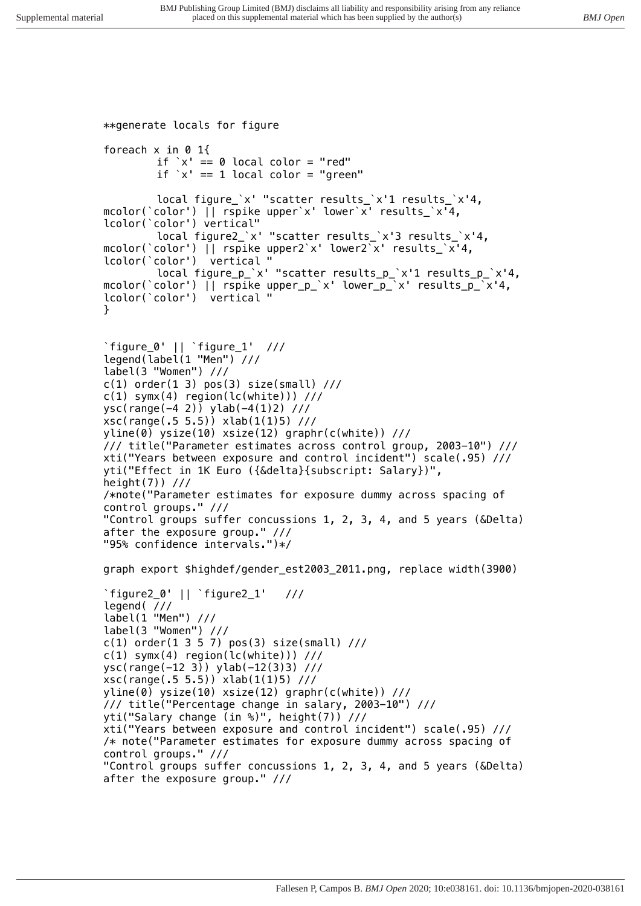```
**generate locals for figure
foreach x in 0 1{
        if `x' == 0 local color = "red"
        if `x' == 1 local color = "green"
        local figure_`x' "scatter results_`x'1 results_`x'4, 
mcolor(`color') || rspike upper`x' lower`x' results_`x'4, 
lcolor(`color') vertical"
        local figure2_`x' "scatter results_`x'3 results_`x'4, 
mcolor(`color') || rspike upper2`x' lower2`x' results_`x'4, 
lcolor(`color') vertical "
        local figure_p_`x' "scatter results_p_`x'1 results_p_`x'4, 
mcolor(`color') || rspike upper_p_`x' lower_p_`x' results_p_`x'4, 
lcolor(`color') vertical "
}
`figure_0' || `figure_1' ///
legend(label(1 "Men") ///
label(3 "Women") ///
c(1) order(1 3) pos(3) size(small) ///
c(1) symx(4) region(lc(white))) ///
ysc(range(-4 2)) ylab(-4(1)2) ///
xsc(range(.5 5.5)) xlab(1(1)5) ///
yline(0) ysize(10) xsize(12) graphr(c(white)) ///
/// title("Parameter estimates across control group, 2003-10") /// 
xti("Years between exposure and control incident") scale(.95) ///
yti("Effect in 1K Euro ({&delta}{subscript: Salary})", 
height(7)) ///
/*note("Parameter estimates for exposure dummy across spacing of 
control groups." ///
"Control groups suffer concussions 1, 2, 3, 4, and 5 years (&Delta) 
after the exposure group." ///
"95% confidence intervals.")*/
graph export $highdef/gender_est2003_2011.png, replace width(3900)
`figure2_0' || `figure2_1' ///
legend( ///
label(1 "Men") ///
label(3 "Women") ///
c(1) order(1 3 5 7) pos(3) size(small) ///
c(1) symx(4) region(lc(white))) ///
ysc(range(-12 3)) ylab(-12(3)3) ///
xsc(range(.5 5.5)) xlab(1(1)5) ///
yline(0) ysize(10) xsize(12) graphr(c(white)) ///
/// title("Percentage change in salary, 2003-10") /// 
yti("Salary change (in %)", height(7)) ///
xti("Years between exposure and control incident") scale(.95) ///
/* note("Parameter estimates for exposure dummy across spacing of 
control groups." ///
"Control groups suffer concussions 1, 2, 3, 4, and 5 years (&Delta) 
after the exposure group." ///
```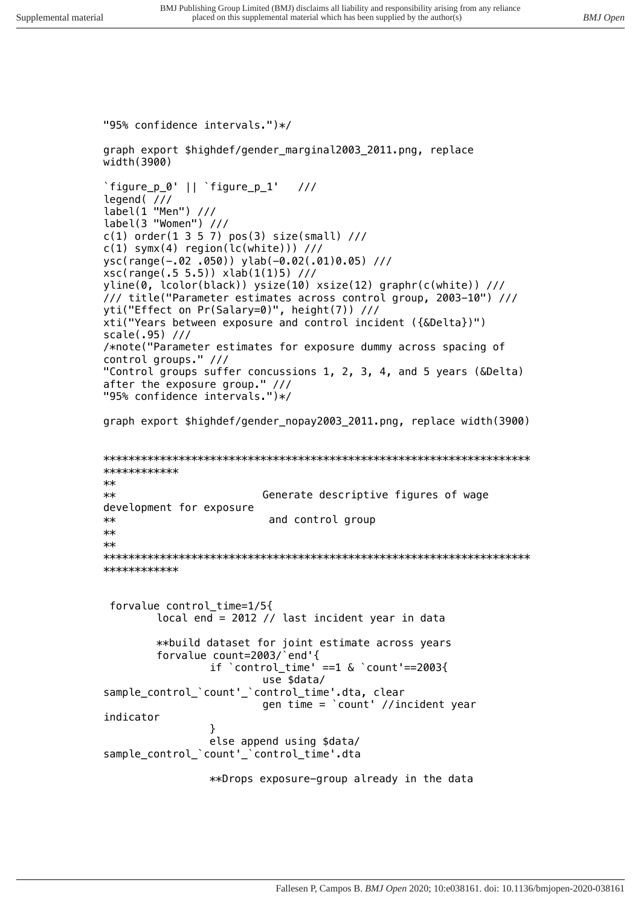*"95% confidence intervals.")\*/ graph export \$highdef/gender\_marginal2003\_2011.png, replace width(3900) `figure\_p\_0' || `figure\_p\_1' /// legend( /// label(1 "Men") /// label(3 "Women") /// c(1) order(1 3 5 7) pos(3) size(small) /// c(1) symx(4) region(lc(white))) /// ysc(range(-.02 .050)) ylab(-0.02(.01)0.05) /// xsc(range(.5 5.5)) xlab(1(1)5) /// yline(0, lcolor(black)) ysize(10) xsize(12) graphr(c(white)) /// /// title("Parameter estimates across control group, 2003-10") /// yti("Effect on Pr(Salary=0)", height(7)) /// xti("Years between exposure and control incident ({&Delta})") scale(.95) /// /\*note("Parameter estimates for exposure dummy across spacing of control groups." /// "Control groups suffer concussions 1, 2, 3, 4, and 5 years (&Delta) after the exposure group." /// "95% confidence intervals.")\*/ graph export \$highdef/gender\_nopay2003\_2011.png, replace width(3900) \*\*\*\*\*\*\*\*\*\*\*\*\*\*\*\*\*\*\*\*\*\*\*\*\*\*\*\*\*\*\*\*\*\*\*\*\*\*\*\*\*\*\*\*\*\*\*\*\*\*\*\*\*\*\*\*\*\*\*\*\*\*\*\*\*\*\*\* \*\*\*\*\*\*\*\*\*\*\*\* \*\* \*\* Generate descriptive figures of wage development for exposure \*\* and control group \*\* \*\* \*\*\*\*\*\*\*\*\*\*\*\*\*\*\*\*\*\*\*\*\*\*\*\*\*\*\*\*\*\*\*\*\*\*\*\*\*\*\*\*\*\*\*\*\*\*\*\*\*\*\*\*\*\*\*\*\*\*\*\*\*\*\*\*\*\*\*\* \*\*\*\*\*\*\*\*\*\*\*\* forvalue control\_time=1/5{ local end = 2012 // last incident year in data \*\*build dataset for joint estimate across years forvalue count=2003/`end'{ if `control\_time' ==1 & `count'==2003{ use \$data/ sample\_control\_`count'\_`control\_time'.dta, clear gen time = `count' //incident year indicator } else append using \$data/ sample\_control\_`count'\_`control\_time'.dta \*\*Drops exposure-group already in the data*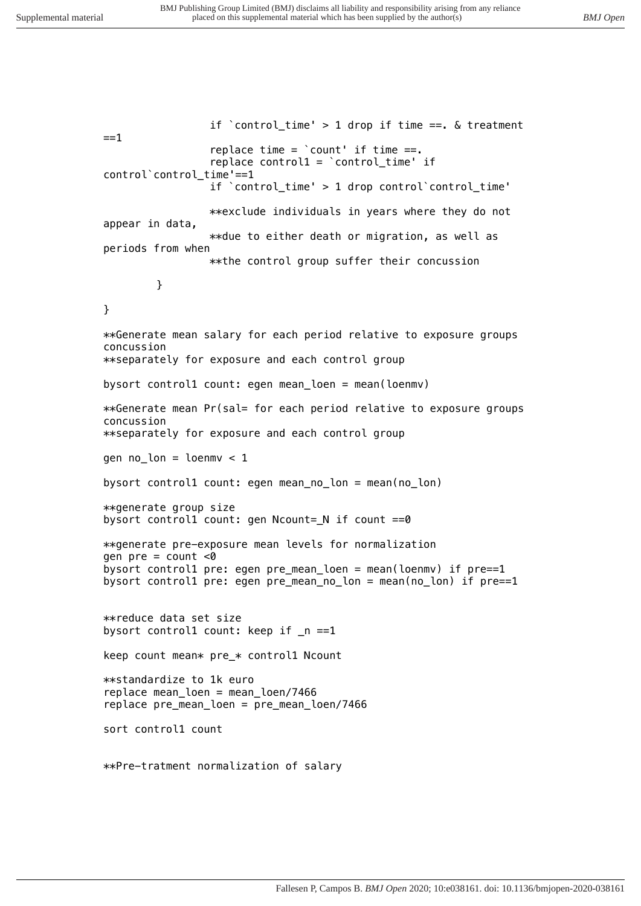*if `control\_time' > 1 drop if time ==. & treatment ==1 replace time = `count' if time ==. replace control1 = `control\_time' if control`control\_time'==1 if `control\_time' > 1 drop control`control\_time' \*\*exclude individuals in years where they do not appear in data, \*\*due to either death or migration, as well as periods from when \*\*the control group suffer their concussion } } \*\*Generate mean salary for each period relative to exposure groups concussion \*\*separately for exposure and each control group bysort control1 count: egen mean\_loen = mean(loenmv) \*\*Generate mean Pr(sal= for each period relative to exposure groups concussion \*\*separately for exposure and each control group gen no\_lon = loenmv < 1 bysort control1 count: egen mean\_no\_lon = mean(no\_lon) \*\*generate group size bysort control1 count: gen Ncount=\_N if count ==0 \*\*generate pre-exposure mean levels for normalization gen pre = count <0 bysort control1 pre: egen pre\_mean\_loen = mean(loenmv) if pre==1 bysort control1 pre: egen pre\_mean\_no\_lon = mean(no\_lon) if pre==1 \*\*reduce data set size bysort control1 count: keep if \_n ==1 keep count mean\* pre\_\* control1 Ncount \*\*standardize to 1k euro replace mean\_loen = mean\_loen/7466 replace pre\_mean\_loen = pre\_mean\_loen/7466 sort control1 count \*\*Pre-tratment normalization of salary*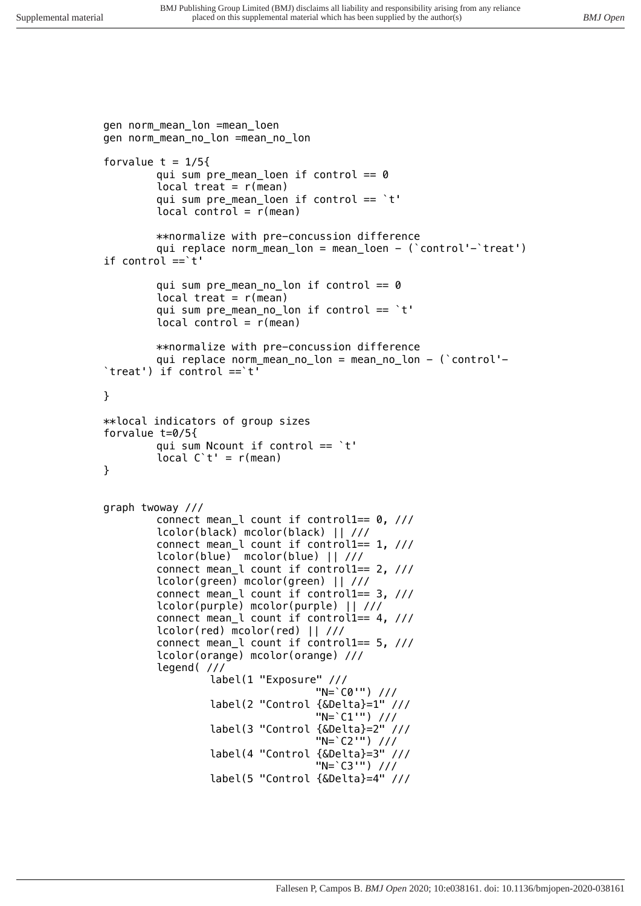```
gen norm_mean_lon =mean_loen
gen norm_mean_no_lon =mean_no_lon
forvalue t = 1/5{
        qui sum pre_mean_loen if control == 0
        local treat = r(mean)
        qui sum pre_mean_loen if control == `t'
        local control = r(mean)
        **normalize with pre-concussion difference
        qui replace norm_mean_lon = mean_loen - (`control'-`treat') 
if control ==`t'
        qui sum pre_mean_no_lon if control == 0
        local treat = r(mean)
        qui sum pre_mean_no_lon if control == `t'
        local control = r(mean)
        **normalize with pre-concussion difference
        qui replace norm_mean_no_lon = mean_no_lon - (`control'-
`treat') if control ==`t'
}
**local indicators of group sizes
forvalue t=0/5{
        qui sum Ncount if control == `t'
        local C`t' = r(mean)
}
graph twoway ///
        connect mean_l count if control1== 0, ///
        lcolor(black) mcolor(black) || ///
        connect mean_l count if control1== 1, ///
        lcolor(blue) mcolor(blue) || ///
        connect mean_l count if control1== 2, ///
        lcolor(green) mcolor(green) || ///
        connect mean_l count if control1== 3, ///
        lcolor(purple) mcolor(purple) || ///
        connect mean_l count if control1== 4, ///
        lcolor(red) mcolor(red) || ///
        connect mean_l count if control1== 5, ///
        lcolor(orange) mcolor(orange) ///
        legend( ///
                 label(1 "Exposure" ///
                                  "N=`C0'") ///
                 label(2 "Control {&Delta}=1" ///
                                  "N=`C1'") ///
                 label(3 "Control {&Delta}=2" ///
                                  "N=`C2'") ///
                 label(4 "Control {&Delta}=3" ///
                                  "N=`C3'") ///
                 label(5 "Control {&Delta}=4" ///
```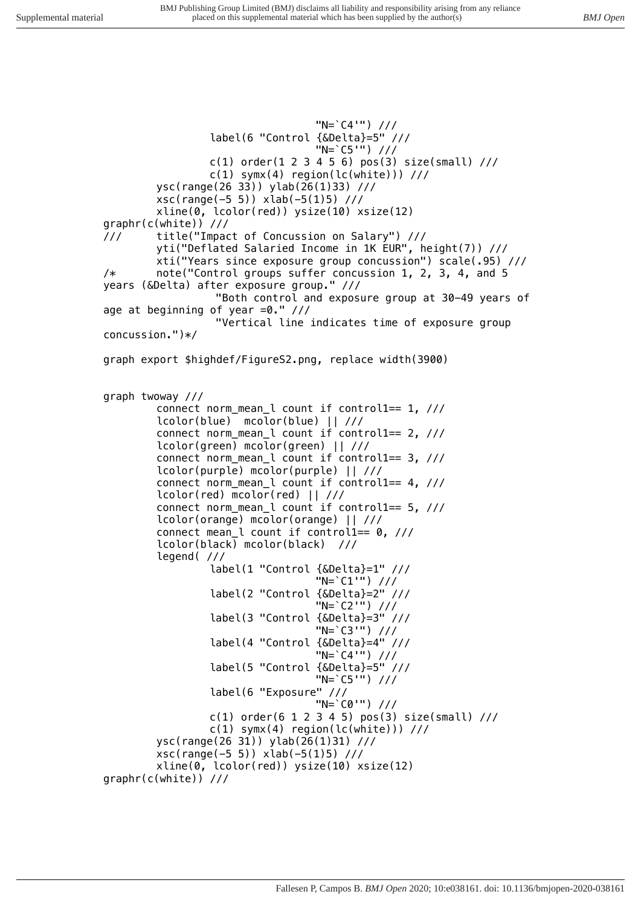*"N=`C4'") /// label(6 "Control {&Delta}=5" /// "N=`C5'") /// c(1) order(1 2 3 4 5 6) pos(3) size(small) /// c(1) symx(4) region(lc(white))) /// ysc(range(26 33)) ylab(26(1)33) /// xsc(range(-5 5)) xlab(-5(1)5) /// xline(0, lcolor(red)) ysize(10) xsize(12) graphr(c(white)) /// /// title("Impact of Concussion on Salary") /// yti("Deflated Salaried Income in 1K EUR", height(7)) /// xti("Years since exposure group concussion") scale(.95) /// /\* note("Control groups suffer concussion 1, 2, 3, 4, and 5 years (&Delta) after exposure group." /// "Both control and exposure group at 30-49 years of age at beginning of year =0." /// "Vertical line indicates time of exposure group concussion.")\*/ graph export \$highdef/FigureS2.png, replace width(3900) graph twoway /// connect norm\_mean\_l count if control1== 1, /// lcolor(blue) mcolor(blue) || /// connect norm\_mean\_l count if control1== 2, /// lcolor(green) mcolor(green) || /// connect norm\_mean\_l count if control1== 3, /// lcolor(purple) mcolor(purple) || /// connect norm\_mean\_l count if control1== 4, /// lcolor(red) mcolor(red) || /// connect norm\_mean\_l count if control1== 5, /// lcolor(orange) mcolor(orange) || /// connect mean\_l count if control1== 0, /// lcolor(black) mcolor(black) /// legend( /// label(1 "Control {&Delta}=1" /// "N=`C1'") /// label(2 "Control {&Delta}=2" /// "N=`C2'") /// label(3 "Control {&Delta}=3" /// "N=`C3'") /// label(4 "Control {&Delta}=4" /// "N=`C4'") /// label(5 "Control {&Delta}=5" /// "N=`C5'") /// label(6 "Exposure" /// "N=`C0'") /// c(1) order(6 1 2 3 4 5) pos(3) size(small) /// c(1) symx(4) region(lc(white))) /// ysc(range(26 31)) ylab(26(1)31) /// xsc(range(-5 5)) xlab(-5(1)5) /// xline(0, lcolor(red)) ysize(10) xsize(12) graphr(c(white)) ///*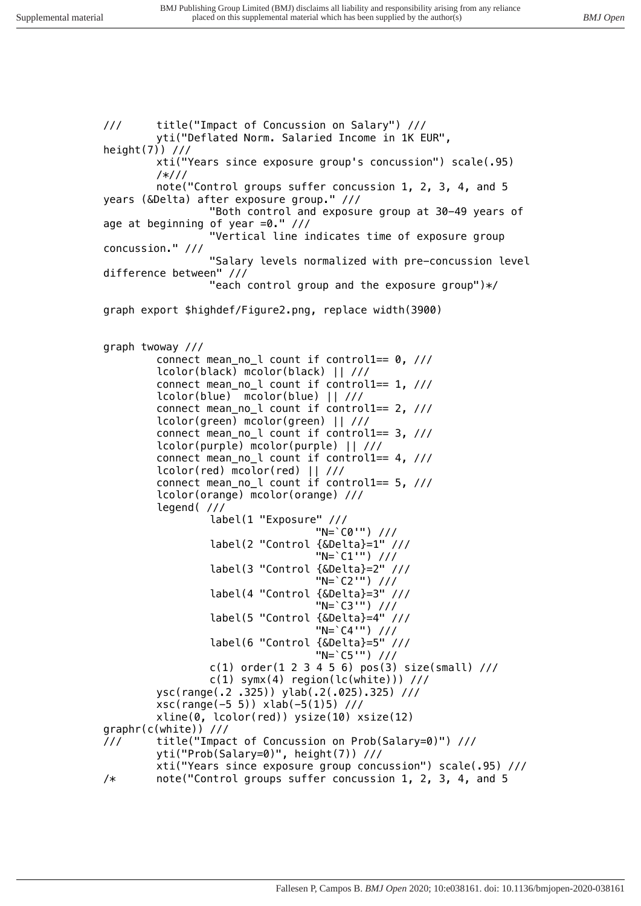*/// title("Impact of Concussion on Salary") /// yti("Deflated Norm. Salaried Income in 1K EUR", height(7)) /// xti("Years since exposure group's concussion") scale(.95) /\*/// note("Control groups suffer concussion 1, 2, 3, 4, and 5 years (&Delta) after exposure group." /// "Both control and exposure group at 30-49 years of age at beginning of year =0." /// "Vertical line indicates time of exposure group concussion." /// "Salary levels normalized with pre-concussion level difference between" /// "each control group and the exposure group")\*/ graph export \$highdef/Figure2.png, replace width(3900) graph twoway /// connect mean\_no\_l count if control1== 0, /// lcolor(black) mcolor(black) || /// connect mean\_no\_l count if control1== 1, /// lcolor(blue) mcolor(blue) || /// connect mean\_no\_l count if control1== 2, /// lcolor(green) mcolor(green) || /// connect mean\_no\_l count if control1== 3, /// lcolor(purple) mcolor(purple) || /// connect mean\_no\_l count if control1== 4, /// lcolor(red) mcolor(red) || /// connect mean\_no\_l count if control1== 5, /// lcolor(orange) mcolor(orange) /// legend( /// label(1 "Exposure" /// "N=`C0'") /// label(2 "Control {&Delta}=1" /// "N=`C1'") /// label(3 "Control {&Delta}=2" /// "N=`C2'") /// label(4 "Control {&Delta}=3" /// "N=`C3'") /// label(5 "Control {&Delta}=4" /// "N=`C4'") /// label(6 "Control {&Delta}=5" /// "N=`C5'") /// c(1) order(1 2 3 4 5 6) pos(3) size(small) /// c(1) symx(4) region(lc(white))) /// ysc(range(.2 .325)) ylab(.2(.025).325) /// xsc(range(-5 5)) xlab(-5(1)5) /// xline(0, lcolor(red)) ysize(10) xsize(12) graphr(c(white)) /// /// title("Impact of Concussion on Prob(Salary=0)") /// yti("Prob(Salary=0)", height(7)) /// xti("Years since exposure group concussion") scale(.95) /// /\* note("Control groups suffer concussion 1, 2, 3, 4, and 5*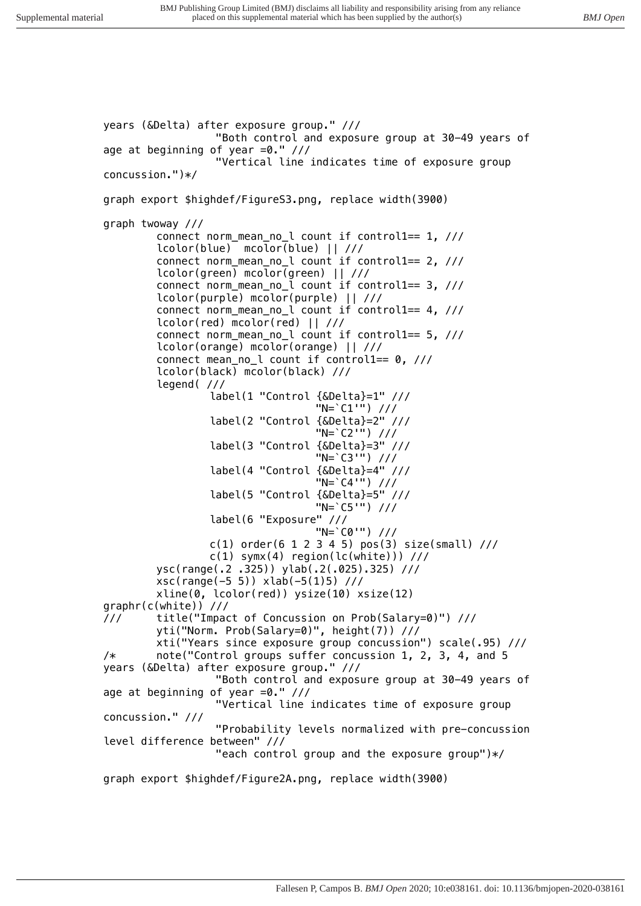```
years (&Delta) after exposure group." ///
                   "Both control and exposure group at 30-49 years of 
age at beginning of year =0." ///
                   "Vertical line indicates time of exposure group 
concussion.")*/
graph export $highdef/FigureS3.png, replace width(3900)
graph twoway ///
        connect norm_mean_no_l count if control1== 1, ///
        lcolor(blue) mcolor(blue) || ///
        connect norm_mean_no_l count if control1== 2, ///
        lcolor(green) mcolor(green) || ///
        connect norm_mean_no_l count if control1== 3, ///
        lcolor(purple) mcolor(purple) || ///
        connect norm_mean_no_l count if control1== 4, ///
        lcolor(red) mcolor(red) || ///
        connect norm_mean_no_l count if control1== 5, ///
        lcolor(orange) mcolor(orange) || ///
        connect mean_no_l count if control1== 0, ///
        lcolor(black) mcolor(black) ///
        legend( ///
                 label(1 "Control {&Delta}=1" ///
                                  "N=`C1'") ///
                 label(2 "Control {&Delta}=2" ///
                                  "N=`C2'") ///
                 label(3 "Control {&Delta}=3" ///
                                  "N=`C3'") ///
                 label(4 "Control {&Delta}=4" ///
                                  "N=`C4'") ///
                 label(5 "Control {&Delta}=5" ///
                                  "N=`C5'") ///
                 label(6 "Exposure" ///
                                  "N=`C0'") ///
                 c(1) order(6 1 2 3 4 5) pos(3) size(small) ///
                 c(1) symx(4) region(lc(white))) ///
        ysc(range(.2 .325)) ylab(.2(.025).325) ///
        xsc(range(-5 5)) xlab(-5(1)5) ///
        xline(0, lcolor(red)) ysize(10) xsize(12) 
graphr(c(white)) ///
/// title("Impact of Concussion on Prob(Salary=0)") /// 
        yti("Norm. Prob(Salary=0)", height(7)) ///
        xti("Years since exposure group concussion") scale(.95) ///
/* note("Control groups suffer concussion 1, 2, 3, 4, and 5 
years (&Delta) after exposure group." ///
                   "Both control and exposure group at 30-49 years of 
age at beginning of year =0." ///
                   "Vertical line indicates time of exposure group 
concussion." ///
                   "Probability levels normalized with pre-concussion 
level difference between" ///
                   "each control group and the exposure group")*/
graph export $highdef/Figure2A.png, replace width(3900)
```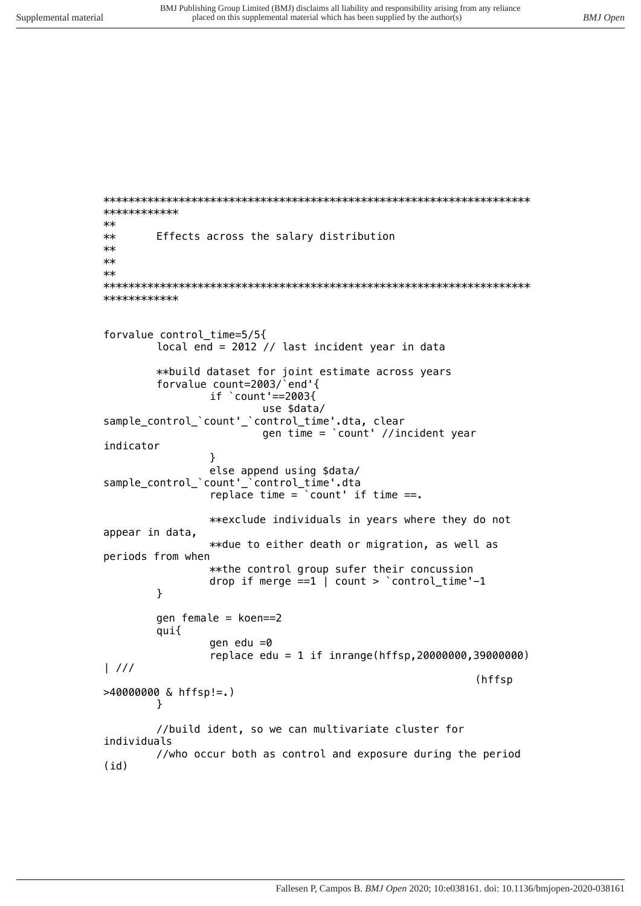```
************
**Effects across the salary distribution
******\star\star************
forvalue control time=5/5{
        local end = 2012 // last incident year in data
        **build dataset for joint estimate across years
        forvalue count=2003/ end'{
                if \text{count} ==2003{
                        use $data/
sample_control_'count'_'control_time'.dta, clear
                        gen time = \text{count} //incident year
indicator
                \mathcal{V}else append using $data/<br>sample_control_`count'_`control_time'.dta
                replace time = \text{count} if time ==.
                **exclude individuals in years where they do not
appear in data,
                **due to either death or migration, as well as
periods from when
                ** the control group sufer their concussion
                drop if merge ==1 | count > \textdegree control_time'-1
        \mathcal{L}gen female = koen==2qui{
                gen edu =0replace edu = 1 if inrange(hffsp, 20000000, 39000000)
\frac{1}{1}(hffsp
>40000000 & hffsp!=.)
        \mathcal{F}//build ident, so we can multivariate cluster for
individuals
        //who occur both as control and exposure during the period
(id)
```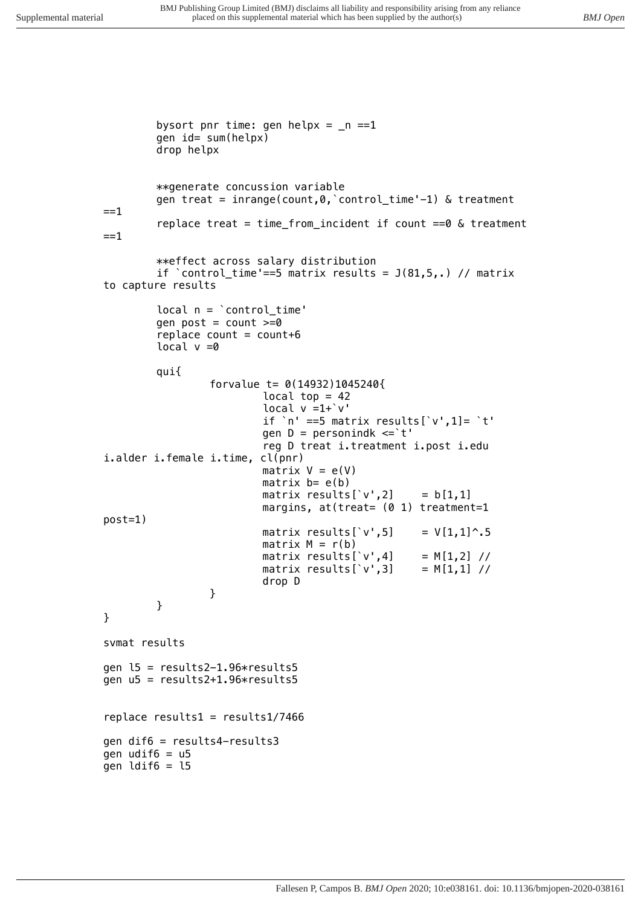*bysort pnr time: gen helpx = \_n ==1 gen id= sum(helpx) drop helpx \*\*generate concussion variable gen treat = inrange(count,0,`control\_time'-1) & treatment ==1 replace treat = time\_from\_incident if count ==0 & treatment ==1 \*\*effect across salary distribution if `control\_time'==5 matrix results = J(81,5,.) // matrix to capture results local n = `control\_time' gen post = count >=0 replace count = count+6 local v =0 qui{ forvalue t= 0(14932)1045240{ local top = 42 local v =1+`v' if `n' ==5 matrix results[`v',1]= `t' gen D = personindk <=`t' reg D treat i.treatment i.post i.edu i.alder i.female i.time, cl(pnr) matrix V = e(V) matrix b= e(b) matrix results[`v',2] = b[1,1] margins, at(treat= (0 1) treatment=1 post=1) matrix results[`v',5] = V[1,1]^.5 matrix M = r(b) matrix results[`v',4] = M[1,2] // matrix results[`v',3] = M[1,1] // drop D } } } svmat results gen l5 = results2-1.96\*results5 gen u5 = results2+1.96\*results5 replace results1 = results1/7466 gen dif6 = results4-results3 gen udif6 = u5 gen ldif6 = l5*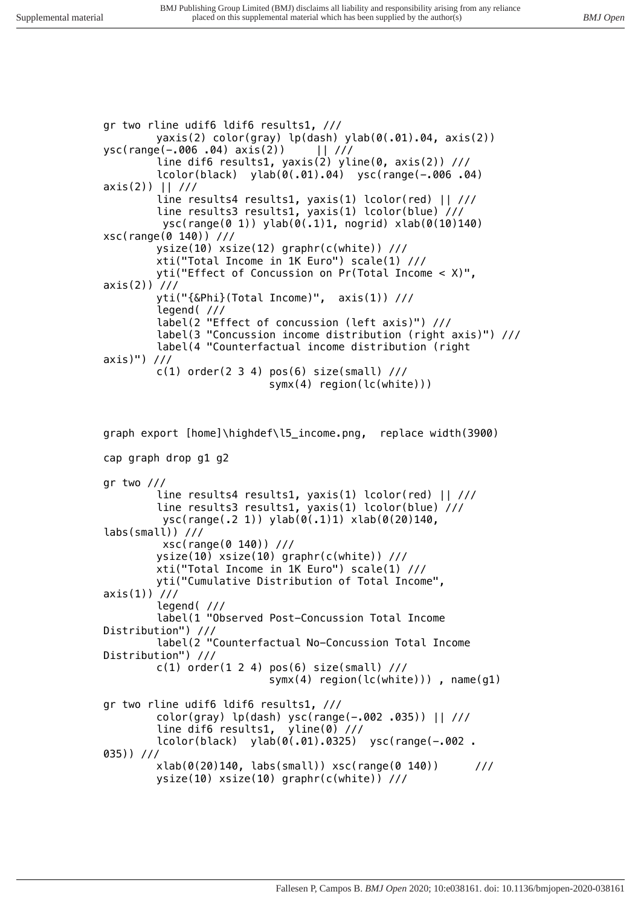*gr two rline udif6 ldif6 results1, /// yaxis(2) color(gray) lp(dash) ylab(0(.01).04, axis(2)) ysc(range(-.006 .04) axis(2)) || /// line dif6 results1, yaxis(2) yline(0, axis(2)) /// lcolor(black) ylab(0(.01).04) ysc(range(-.006 .04) axis(2)) || /// line results4 results1, yaxis(1) lcolor(red) || /// line results3 results1, yaxis(1) lcolor(blue) /// ysc(range(0 1)) ylab(0(.1)1, nogrid) xlab(0(10)140) xsc(range(0 140)) /// ysize(10) xsize(12) graphr(c(white)) /// xti("Total Income in 1K Euro") scale(1) /// yti("Effect of Concussion on Pr(Total Income < X)", axis(2)) /// yti("{&Phi}(Total Income)", axis(1)) /// legend( /// label(2 "Effect of concussion (left axis)") /// label(3 "Concussion income distribution (right axis)") /// label(4 "Counterfactual income distribution (right axis)") /// c(1) order(2 3 4) pos(6) size(small) /// symx(4) region(lc(white))) graph export [home]\highdef\l5\_income.png, replace width(3900)*

*cap graph drop g1 g2 gr two /// line results4 results1, yaxis(1) lcolor(red) || /// line results3 results1, yaxis(1) lcolor(blue) /// ysc(range(.2 1)) ylab(0(.1)1) xlab(0(20)140, labs(small)) /// xsc(range(0 140)) /// ysize(10) xsize(10) graphr(c(white)) /// xti("Total Income in 1K Euro") scale(1) /// yti("Cumulative Distribution of Total Income", axis(1)) /// legend( /// label(1 "Observed Post-Concussion Total Income Distribution") /// label(2 "Counterfactual No-Concussion Total Income Distribution") /// c(1) order(1 2 4) pos(6) size(small) /// symx(4) region(lc(white))) , name(g1) gr two rline udif6 ldif6 results1, /// color(gray) lp(dash) ysc(range(-.002 .035)) || /// line dif6 results1, yline(0) /// lcolor(black) ylab(0(.01).0325) ysc(range(-.002 . 035)) /// xlab(0(20)140, labs(small)) xsc(range(0 140)) /// ysize(10) xsize(10) graphr(c(white)) ///*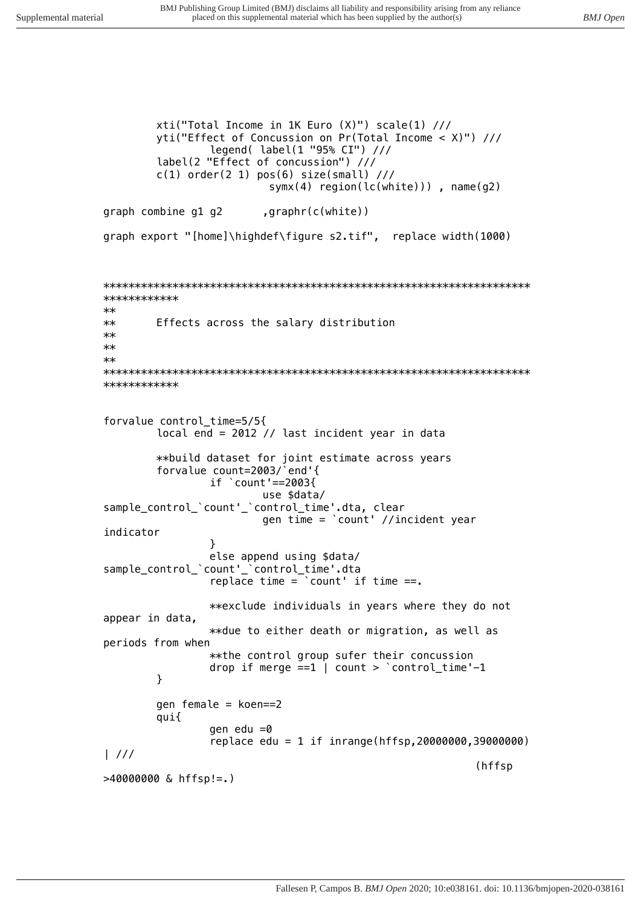xti("Total Income in 1K Euro (X)") scale(1) /// yti("Effect of Concussion on Pr(Total Income <  $X$ )") /// legend( label(1 "95% CI") /// label(2 "Effect of concussion") ///  $c(1)$  order(2 1) pos(6) size(small) ///  $symx(4)$  region(lc(white))), name(q2) graph combine g1 g2  $, graphr(c(\text{white}))$ graph export "[home]\highdef\figure s2.tif", replace width(1000) \*\*\*\*\*\*\*\*\*\*\*\*  $**$  $**$ Effects across the salary distribution  $**$  $**$  $**$ \*\*\*\*\*\*\*\*\*\*\*\* forvalue control\_time=5/5{ local end =  $2012$  // last incident year in data \*\*build dataset for joint estimate across years<br>forvalue count=2003/`end'{<br>if `count'==2003{ use \$data/ sample\_control\_'count'\_'control\_time'.dta, clear gen time = 'count' //incident year indicator  $\mathcal{L}$ else append using \$data/ sample\_control\_'count'\_'control\_time'.dta replace time =  $\degree$  count' if time ==. \*\*exclude individuals in years where they do not appear in data, \*\*due to either death or migration, as well as periods from when \*\* the control group sufer their concussion drop if merge  $==1$  | count > 'control\_time'-1  $\mathcal{F}$ gen female =  $koen==2$ qui{ gen edu  $=0$ replace edu = 1 if inrange(hffsp, 20000000, 39000000)  $\frac{1}{1}$ (hffsp  $>40000000$  & hffsp!=.)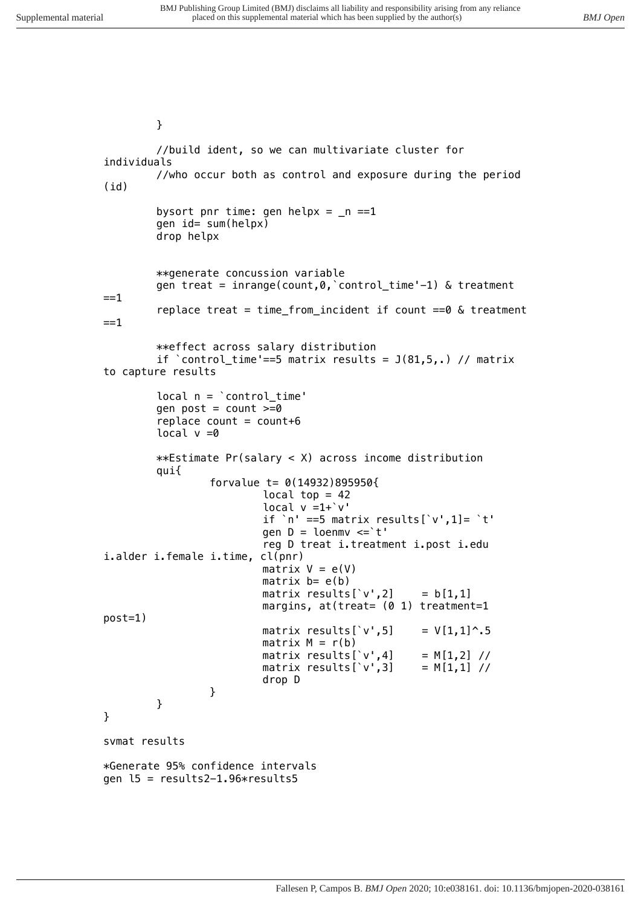```
}
```

```
//build ident, so we can multivariate cluster for 
individuals
        //who occur both as control and exposure during the period 
(id)
        bysort pnr time: gen helpx = _n ==1
        gen id= sum(helpx)
        drop helpx
        **generate concussion variable
        gen treat = inrange(count,0,`control_time'-1) & treatment 
==1
        replace treat = time_from_incident if count ==0 & treatment 
==1
        **effect across salary distribution
        if `control_time'==5 matrix results = J(81,5,.) // matrix 
to capture results
        local n = `control_time'
        gen post = count >=0
        replace count = count+6
        local v =0
        **Estimate Pr(salary < X) across income distribution
        qui{
                 forvalue t= 0(14932)895950{
                          local top = 42
                          local v =1+`v'
                          if `n' ==5 matrix results[`v',1]= `t'
                          gen D = loenmv <=`t' 
                          reg D treat i.treatment i.post i.edu 
i.alder i.female i.time, cl(pnr)
                         matrix V = e(V)
                         matrix b= e(b)
                         matrix results[`v',2] = b[1,1]
                         margins, at(treat= (0 1) treatment=1 
post=1) 
                         matrix results[`v',5] = V[1,1]^.5
                         matrix M = r(b)
                         matrix results[`v',4] = M[1,2] // 
                         matrix results[`v',3]
                          drop D
                 }
        }
}
svmat results
*Generate 95% confidence intervals
gen l5 = results2-1.96*results5
```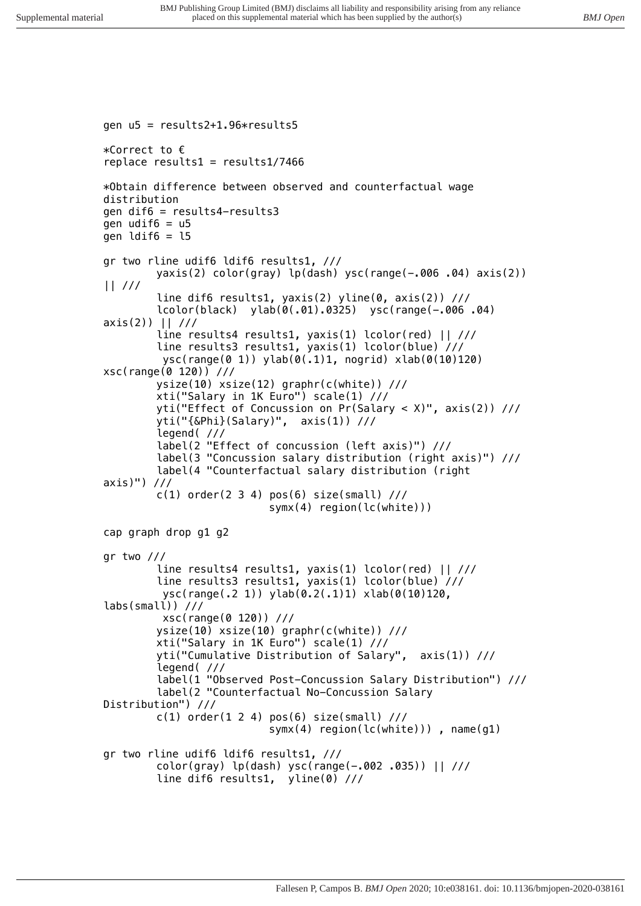```
gen u5 = results2+1.96*results5
*Correct to €
replace results1 = results1/7466
*Obtain difference between observed and counterfactual wage 
distribution
gen dif6 = results4-results3
gen udif6 = u5
gen ldif6 = l5
gr two rline udif6 ldif6 results1, ///
        yaxis(2) color(gray) lp(dash) ysc(range(-.006 .04) axis(2)) 
|| ///
        line dif6 results1, yaxis(2) yline(0, axis(2)) ///
        lcolor(black) ylab(0(.01).0325) ysc(range(-.006 .04) 
axis(2)) || ///
        line results4 results1, yaxis(1) lcolor(red) || ///
        line results3 results1, yaxis(1) lcolor(blue) ///
          ysc(range(0 1)) ylab(0(.1)1, nogrid) xlab(0(10)120) 
xsc(range(0 120)) ///
        ysize(10) xsize(12) graphr(c(white)) ///
        xti("Salary in 1K Euro") scale(1) ///
        yti("Effect of Concussion on Pr(Salary < X)", axis(2)) ///
        yti("{&Phi}(Salary)", axis(1)) ///
        legend( ///
        label(2 "Effect of concussion (left axis)") ///
        label(3 "Concussion salary distribution (right axis)") ///
        label(4 "Counterfactual salary distribution (right 
axis)") ///
        c(1) order(2 3 4) pos(6) size(small) ///
                            symx(4) region(lc(white))) 
cap graph drop g1 g2
gr two ///
        line results4 results1, yaxis(1) lcolor(red) || ///
        line results3 results1, yaxis(1) lcolor(blue) ///
          ysc(range(.2 1)) ylab(0.2(.1)1) xlab(0(10)120, 
labs(small)) ///
          xsc(range(0 120)) ///
        ysize(10) xsize(10) graphr(c(white)) ///
        xti("Salary in 1K Euro") scale(1) ///
        yti("Cumulative Distribution of Salary", axis(1)) ///
        legend( ///
        label(1 "Observed Post-Concussion Salary Distribution") ///
        label(2 "Counterfactual No-Concussion Salary 
Distribution") ///
        c(1) order(1 2 4) pos(6) size(small) ///
                            symx(4) region(lc(white))) , name(g1) 
gr two rline udif6 ldif6 results1, ///
        color(gray) lp(dash) ysc(range(-.002 .035)) || ///
        line dif6 results1, yline(0) ///
```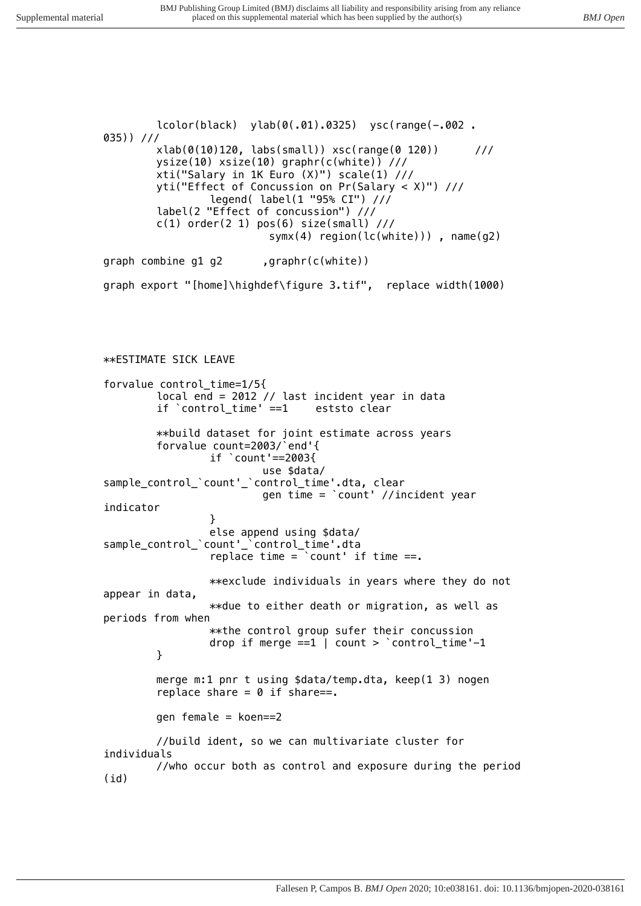*lcolor(black) ylab(0(.01).0325) ysc(range(-.002 . 035)) /// xlab(0(10)120, labs(small)) xsc(range(0 120)) /// ysize(10) xsize(10) graphr(c(white)) /// xti("Salary in 1K Euro (X)") scale(1) /// yti("Effect of Concussion on Pr(Salary < X)") /// legend( label(1 "95% CI") /// label(2 "Effect of concussion") /// c(1) order(2 1) pos(6) size(small) /// symx(4) region(lc(white))) , name(g2) graph combine g1 g2 ,graphr(c(white)) graph export "[home]\highdef\figure 3.tif", replace width(1000) \*\*ESTIMATE SICK LEAVE forvalue control\_time=1/5{ local end = 2012 // last incident year in data if* `control time' ==1 *\*\*build dataset for joint estimate across years forvalue count=2003/`end'{ if `count'==2003{ use \$data/ sample\_control\_`count'\_`control\_time'.dta, clear gen time = `count' //incident year indicator } else append using \$data/ sample\_control\_`count'\_`control\_time'.dta replace time = `count' if time ==. \*\*exclude individuals in years where they do not appear in data, \*\*due to either death or migration, as well as periods from when \*\*the control group sufer their concussion drop if merge ==1 | count > `control\_time'-1 } merge m:1 pnr t using \$data/temp.dta, keep(1 3) nogen replace share = 0 if share==. gen female = koen==2 //build ident, so we can multivariate cluster for individuals //who occur both as control and exposure during the period (id)*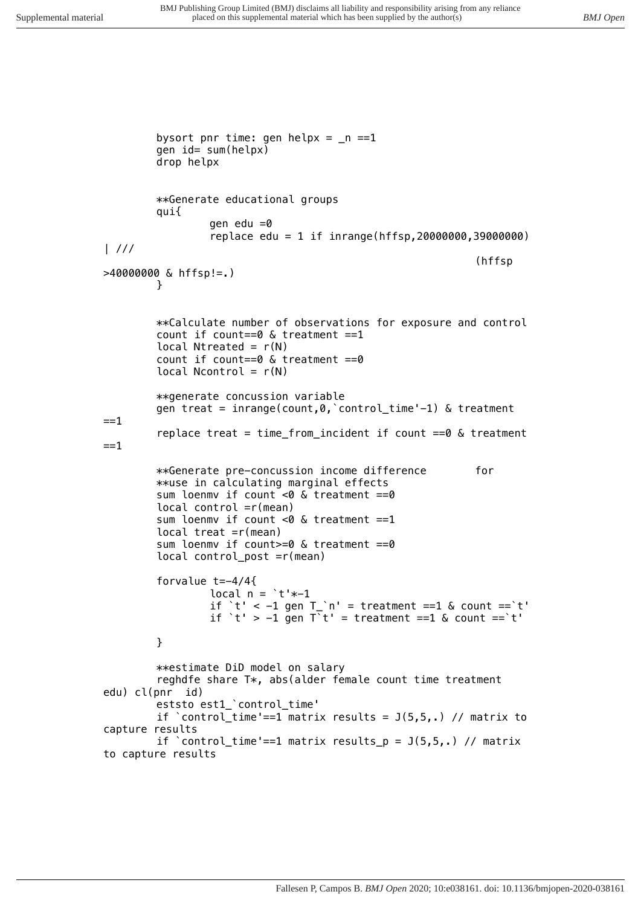```
bysort pnr time: gen helpx = _n ==1
        gen id= sum(helpx)
        drop helpx
        **Generate educational groups
        qui{
                 gen edu =0
                 replace edu = 1 if inrange(hffsp,20000000,39000000) 
| ///
                                                            (hffsp 
>40000000 & hffsp!=.)
        }
        **Calculate number of observations for exposure and control
        count if count==0 & treatment ==1
        local Ntreated = r(N)
        count if count==0 & treatment ==0
        local Ncontrol = r(N)
        **generate concussion variable
        gen treat = inrange(count,0,`control_time'-1) & treatment 
==1
        replace treat = time_from_incident if count ==0 & treatment 
==1
        **Generate pre-concussion income difference for
        **use in calculating marginal effects
        sum loenmv if count <0 & treatment ==0
        local control =r(mean)
        sum loenmv if count <0 & treatment ==1
        local treat =r(mean)
        sum loenmv if count>=0 & treatment ==0
        local control_post =r(mean)
        forvalue t=-4/4{
                 local n = `t'*-1
                 if `t' < -1 gen T_`n' = treatment ==1 & count ==`t'
                 if `t' > -1 gen T`t' = treatment ==1 & count ==`t'
        }
        **estimate DiD model on salary
        reghdfe share T*, abs(alder female count time treatment 
edu) cl(pnr id)
        eststo est1_`control_time'
        if `control_time'==1 matrix results = J(5,5,.) // matrix to 
capture results
        if `control_time'==1 matrix results_p = J(5,5,.) // matrix 
to capture results
```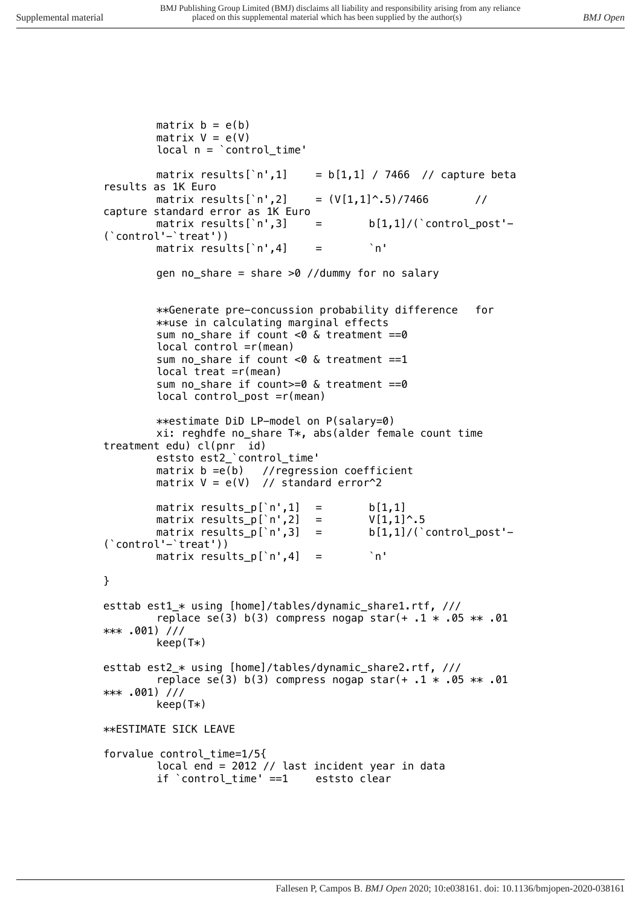```
matrix b = e(b)
        matrix V = e(V)
        local n = `control_time'
        matrix results[`n',1] = b[1,1] / 7466 // capture beta 
results as 1K Euro
        matrix results[`n',2] = (V[1,1]^.5)/7466 // 
capture standard error as 1K Euro
                                  matrix results[`n',3] = b[1,1]/(`control_post'-
(`control'-`treat'))
        matrix results[`n',4] = `n'
        gen no_share = share >0 //dummy for no salary
        **Generate pre-concussion probability difference for
        **use in calculating marginal effects
        sum no_share if count <0 & treatment ==0
        local control =r(mean)
        sum no_share if count <0 & treatment ==1
        local treat =r(mean)
        sum no_share if count>=0 & treatment ==0
        local control_post =r(mean)
        **estimate DiD LP-model on P(salary=0)
        xi: reghdfe no_share T*, abs(alder female count time 
treatment edu) cl(pnr id)
        eststo est2_`control_time'
        matrix b =e(b) //regression coefficient
        matrix V = e(V) // standard error^2
        matrix results_p[`n',1] = b[1,1]<br>matrix results_p[`n',2] = V[1,1]^.5
        matrix results_p[`n',2] =
        matrix results_p[`n',3] = b[1,1]/(`control_post'-
(`control'-`treat'))
        matrix results_p[`n',4] = `n'
}
esttab est1_* using [home]/tables/dynamic_share1.rtf, ///
        replace se(3) b(3) compress nogap star(+ .1 * .05 ** .01 
*** .001) ///
        keep(T*)
esttab est2_* using [home]/tables/dynamic_share2.rtf, ///
        replace se(3) b(3) compress nogap star(+ .1 * .05 ** .01 
*** .001) ///
        keep(T*)
**ESTIMATE SICK LEAVE
forvalue control_time=1/5{
        local end = 2012 // last incident year in data
        if `control_time' ==1 eststo clear
```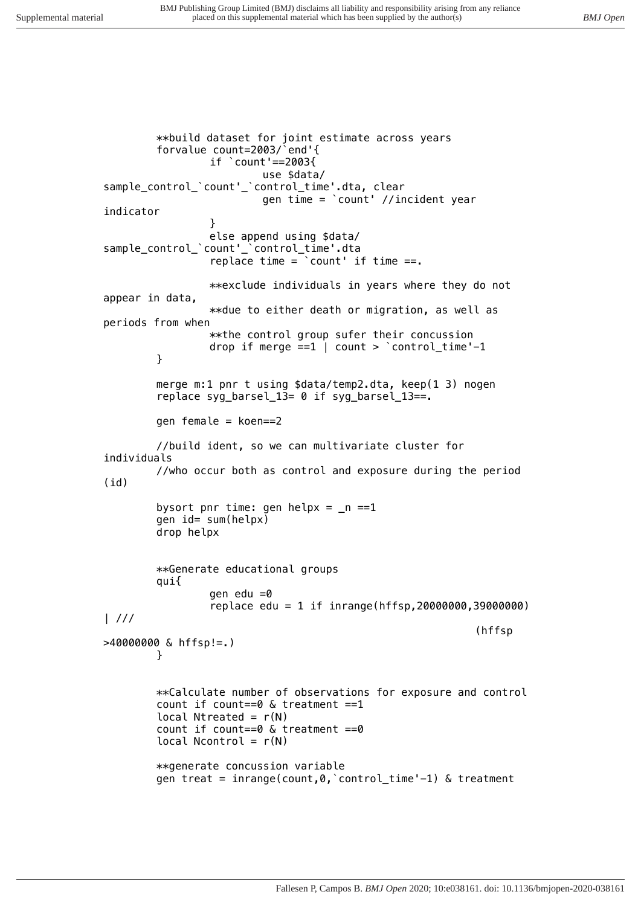*\*\*build dataset for joint estimate across years forvalue count=2003/`end'{ if `count'==2003{ use \$data/ sample\_control\_`count'\_`control\_time'.dta, clear gen time = `count' //incident year indicator } else append using \$data/ sample\_control\_`count'\_`control\_time'.dta replace time = `count' if time ==. \*\*exclude individuals in years where they do not appear in data, \*\*due to either death or migration, as well as periods from when \*\*the control group sufer their concussion drop if merge ==1 | count > `control\_time'-1 } merge m:1 pnr t using \$data/temp2.dta, keep(1 3) nogen replace syg\_barsel\_13= 0 if syg\_barsel\_13==. gen female = koen==2 //build ident, so we can multivariate cluster for individuals //who occur both as control and exposure during the period (id) bysort pnr time: gen helpx = \_n ==1 gen id= sum(helpx) drop helpx \*\*Generate educational groups qui{ gen edu =0 replace edu = 1 if inrange(hffsp,20000000,39000000) | /// (hffsp >40000000 & hffsp!=.) } \*\*Calculate number of observations for exposure and control count if count==0 & treatment ==1 local Ntreated = r(N) count if count==0 & treatment ==0 local Ncontrol = r(N) \*\*generate concussion variable gen treat = inrange(count,0,`control\_time'-1) & treatment*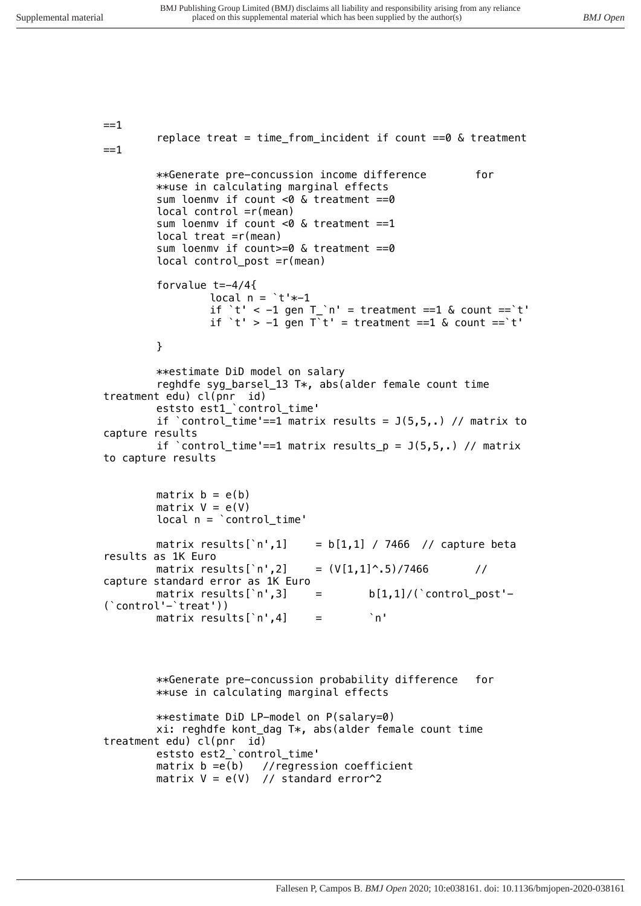```
==1
        replace treat = time_from_incident if count ==0 & treatment 
==1
        **Generate pre-concussion income difference for
        **use in calculating marginal effects
        sum loenmv if count <0 & treatment ==0
        local control =r(mean)
        sum loenmv if count <0 & treatment ==1
        local treat =r(mean)
        sum loenmv if count>=0 & treatment ==0
        local control_post =r(mean)
        forvalue t=-4/4{
                 local n = `t'*-1
                 if `t' < -1 gen T_`n' = treatment ==1 & count ==`t'
                 if `t' > -1 gen T`t' = treatment ==1 & count ==`t'
        }
        **estimate DiD model on salary
        reghdfe syg_barsel_13 T*, abs(alder female count time 
treatment edu) cl(pnr id)
        eststo est1_`control_time'
        if `control_time'==1 matrix results = J(5,5,.) // matrix to 
capture results
        if `control_time'==1 matrix results_p = J(5,5,.) // matrix 
to capture results
        matrix b = e(b)
        matrix V = e(V)
        local n = `control_time'
        matrix results[`n',1] = b[1,1] / 7466 // capture beta 
results as 1K Euro
        matrix results[`n',2] = (V[1,1]^.5)/7466 // 
capture standard error as 1K Euro
                                 matrix results[`n',3] = b[1,1]/(`control_post'-
(`control'-`treat'))
        matrix results[`n',4] = `n'
        **Generate pre-concussion probability difference for
        **use in calculating marginal effects
        **estimate DiD LP-model on P(salary=0)
        xi: reghdfe kont_dag T*, abs(alder female count time 
treatment edu) cl(pnr id)
        eststo est2_`control_time'
        matrix b =e(b) //regression coefficient
        matrix V = e(V) // standard error^2
```